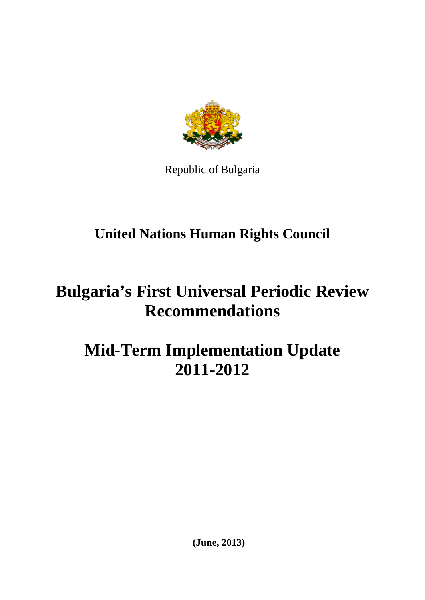

Republic of Bulgaria

# **United Nations Human Rights Council**

# **Bulgaria's First Universal Periodic Review Recommendations**

# **Mid-Term Implementation Update 2011-2012**

**(June, 2013)**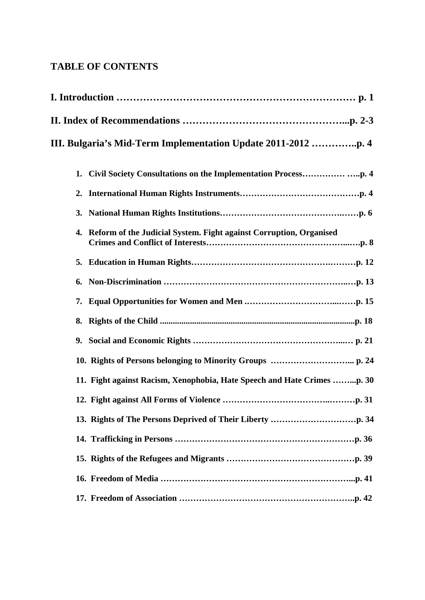## **TABLE OF CONTENTS**

| III. Bulgaria's Mid-Term Implementation Update 2011-2012 p. 4            |
|--------------------------------------------------------------------------|
| 1.                                                                       |
| 2.                                                                       |
| 3.                                                                       |
| Reform of the Judicial System. Fight against Corruption, Organised<br>4. |
|                                                                          |
| 6.                                                                       |
| 7.                                                                       |
| 8.                                                                       |
| 9.                                                                       |
| 10. Rights of Persons belonging to Minority Groups  p. 24                |
| 11. Fight against Racism, Xenophobia, Hate Speech and Hate Crimes p. 30  |
|                                                                          |
|                                                                          |
|                                                                          |
|                                                                          |
|                                                                          |
|                                                                          |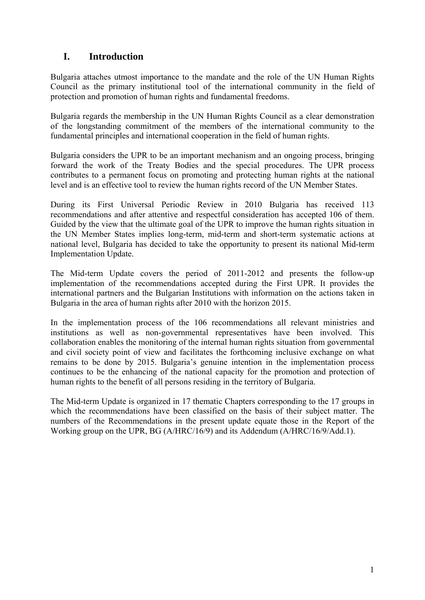## **I. Introduction**

Bulgaria attaches utmost importance to the mandate and the role of the UN Human Rights Council as the primary institutional tool of the international community in the field of protection and promotion of human rights and fundamental freedoms.

Bulgaria regards the membership in the UN Human Rights Council as a clear demonstration of the longstanding commitment of the members of the international community to the fundamental principles and international cooperation in the field of human rights.

Bulgaria considers the UPR to be an important mechanism and an ongoing process, bringing forward the work of the Treaty Bodies and the special procedures. The UPR process contributes to a permanent focus on promoting and protecting human rights at the national level and is an effective tool to review the human rights record of the UN Member States.

During its First Universal Periodic Review in 2010 Bulgaria has received 113 recommendations and after attentive and respectful consideration has accepted 106 of them. Guided by the view that the ultimate goal of the UPR to improve the human rights situation in the UN Member States implies long-term, mid-term and short-term systematic actions at national level, Bulgaria has decided to take the opportunity to present its national Mid-term Implementation Update.

The Mid-term Update covers the period of 2011-2012 and presents the follow-up implementation of the recommendations accepted during the First UPR. It provides the international partners and the Bulgarian Institutions with information on the actions taken in Bulgaria in the area of human rights after 2010 with the horizon 2015.

In the implementation process of the 106 recommendations all relevant ministries and institutions as well as non-governmental representatives have been involved. This collaboration enables the monitoring of the internal human rights situation from governmental and civil society point of view and facilitates the forthcoming inclusive exchange on what remains to be done by 2015. Bulgaria's genuine intention in the implementation process continues to be the enhancing of the national capacity for the promotion and protection of human rights to the benefit of all persons residing in the territory of Bulgaria.

The Mid-term Update is organized in 17 thematic Chapters corresponding to the 17 groups in which the recommendations have been classified on the basis of their subject matter. The numbers of the Recommendations in the present update equate those in the Report of the Working group on the UPR, BG (A/HRC/16/9) and its Addendum (A/HRC/16/9/Add.1).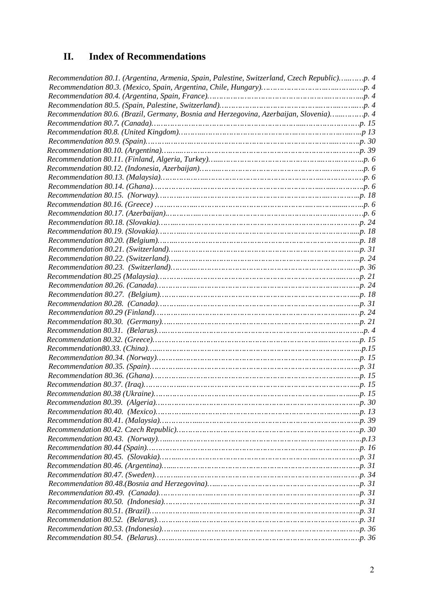# **II. Index of Recommendations**

| Recommendation 80.1. (Argentina, Armenia, Spain, Palestine, Switzerland, Czech Republic)p. 4 |  |
|----------------------------------------------------------------------------------------------|--|
|                                                                                              |  |
|                                                                                              |  |
|                                                                                              |  |
| Recommendation 80.6. (Brazil, Germany, Bosnia and Herzegovina, Azerbaijan, Slovenia)p. 4     |  |
|                                                                                              |  |
|                                                                                              |  |
|                                                                                              |  |
|                                                                                              |  |
|                                                                                              |  |
|                                                                                              |  |
|                                                                                              |  |
|                                                                                              |  |
|                                                                                              |  |
|                                                                                              |  |
|                                                                                              |  |
|                                                                                              |  |
|                                                                                              |  |
|                                                                                              |  |
|                                                                                              |  |
|                                                                                              |  |
|                                                                                              |  |
|                                                                                              |  |
|                                                                                              |  |
|                                                                                              |  |
|                                                                                              |  |
|                                                                                              |  |
|                                                                                              |  |
|                                                                                              |  |
|                                                                                              |  |
|                                                                                              |  |
|                                                                                              |  |
|                                                                                              |  |
|                                                                                              |  |
|                                                                                              |  |
|                                                                                              |  |
|                                                                                              |  |
|                                                                                              |  |
|                                                                                              |  |
|                                                                                              |  |
|                                                                                              |  |
|                                                                                              |  |
|                                                                                              |  |
|                                                                                              |  |
|                                                                                              |  |
|                                                                                              |  |
|                                                                                              |  |
|                                                                                              |  |
|                                                                                              |  |
|                                                                                              |  |
|                                                                                              |  |
|                                                                                              |  |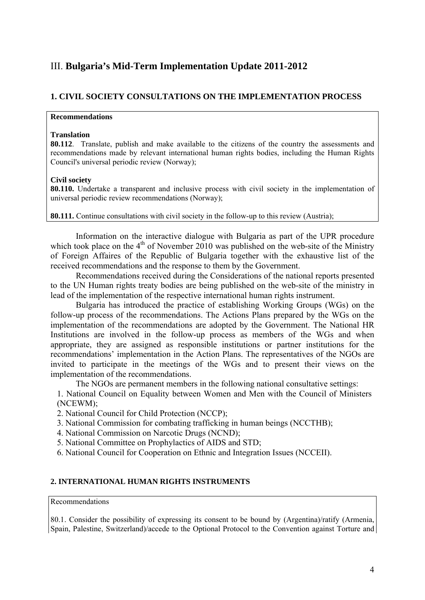## III. **Bulgaria's Mid-Term Implementation Update 2011-2012**

## **1. CIVIL SOCIETY CONSULTATIONS ON THE IMPLEMENTATION PROCESS**

## **Recommendations**

#### **Translation**

**80.112**. Translate, publish and make available to the citizens of the country the assessments and recommendations made by relevant international human rights bodies, including the Human Rights Council's universal periodic review (Norway);

#### **Civil society**

**80.110.** Undertake a transparent and inclusive process with civil society in the implementation of universal periodic review recommendations (Norway);

**80.111.** Continue consultations with civil society in the follow-up to this review (Austria);

Information on the interactive dialogue with Bulgaria as part of the UPR procedure which took place on the  $4<sup>th</sup>$  of November 2010 was published on the web-site of the Ministry of Foreign Affaires of the Republic of Bulgaria together with the exhaustive list of the received recommendations and the response to them by the Government.

Recommendations received during the Considerations of the national reports presented to the UN Human rights treaty bodies are being published on the web-site of the ministry in lead of the implementation of the respective international human rights instrument.

Bulgaria has introduced the practice of establishing Working Groups (WGs) on the follow-up process of the recommendations. The Actions Plans prepared by the WGs on the implementation of the recommendations are adopted by the Government. The National HR Institutions are involved in the follow-up process as members of the WGs and when appropriate, they are assigned as responsible institutions or partner institutions for the recommendations' implementation in the Action Plans. The representatives of the NGOs are invited to participate in the meetings of the WGs and to present their views on the implementation of the recommendations.

The NGOs are permanent members in the following national consultative settings:

1. National Council on Equality between Women and Men with the Council of Ministers (NCEWM);

2. National Council for Child Protection (NCCP);

- 3. National Commission for combating trafficking in human beings (NCCTHB);
- 4. National Commission on Narcotic Drugs (NCND);
- 5. National Committee on Prophylactics of AIDS and STD;
- 6. National Council for Cooperation on Ethnic and Integration Issues (NCCEII).

## **2. INTERNATIONAL HUMAN RIGHTS INSTRUMENTS**

#### Recommendations

80.1. Consider the possibility of expressing its consent to be bound by (Argentina)/ratify (Armenia, Spain, Palestine, Switzerland)/accede to the Optional Protocol to the Convention against Torture and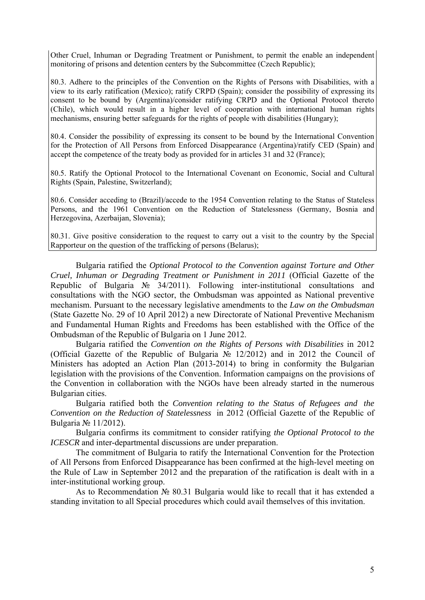Other Cruel, Inhuman or Degrading Treatment or Punishment, to permit the enable an independent monitoring of prisons and detention centers by the Subcommittee (Czech Republic);

80.3. Adhere to the principles of the Convention on the Rights of Persons with Disabilities, with a view to its early ratification (Mexico); ratify CRPD (Spain); consider the possibility of expressing its consent to be bound by (Argentina)/consider ratifying CRPD and the Optional Protocol thereto (Chile), which would result in a higher level of cooperation with international human rights mechanisms, ensuring better safeguards for the rights of people with disabilities (Hungary);

80.4. Consider the possibility of expressing its consent to be bound by the International Convention for the Protection of All Persons from Enforced Disappearance (Argentina)/ratify CED (Spain) and accept the competence of the treaty body as provided for in articles 31 and 32 (France);

80.5. Ratify the Optional Protocol to the International Covenant on Economic, Social and Cultural Rights (Spain, Palestine, Switzerland);

80.6. Consider acceding to (Brazil)/accede to the 1954 Convention relating to the Status of Stateless Persons, and the 1961 Convention on the Reduction of Statelessness (Germany, Bosnia and Herzegovina, Azerbaijan, Slovenia);

80.31. Give positive consideration to the request to carry out a visit to the country by the Special Rapporteur on the question of the trafficking of persons (Belarus);

Bulgaria ratified the *Optional Protocol to the Convention against Torture and Other Cruel, Inhuman or Degrading Treatment or Punishment in 2011* (Official Gazette of the Republic of Bulgaria № 34/2011). Following inter-institutional consultations and consultations with the NGO sector, the Ombudsman was appointed as National preventive mechanism. Pursuant to the necessary legislative amendments to the *Law on the Ombudsman* (State Gazette No. 29 of 10 April 2012) a new Directorate of National Preventive Mechanism and Fundamental Human Rights and Freedoms has been established with the Office of the Ombudsman of the Republic of Bulgaria on 1 June 2012.

Bulgaria ratified the *Convention on the Rights of Persons with Disabilities* in 2012 (Official Gazette of the Republic of Bulgaria № 12/2012) and in 2012 the Council of Ministers has adopted an Action Plan (2013-2014) to bring in conformity the Bulgarian legislation with the provisions of the Convention. Information campaigns on the provisions of the Convention in collaboration with the NGOs have been already started in the numerous Bulgarian cities.

Bulgaria ratified both the *Convention relating to the Status of Refugees and the Convention on the Reduction of Statelessness* in 2012 (Official Gazette of the Republic of Bulgaria № 11/2012).

Bulgaria confirms its commitment to consider ratifying *the Optional Protocol to the ICESCR* and inter-departmental discussions are under preparation.

The commitment of Bulgaria to ratify the International Convention for the Protection of All Persons from Enforced Disappearance has been confirmed at the high-level meeting on the Rule of Law in September 2012 and the preparation of the ratification is dealt with in a inter-institutional working group.

As to Recommendation № 80.31 Bulgaria would like to recall that it has extended a standing invitation to all Special procedures which could avail themselves of this invitation.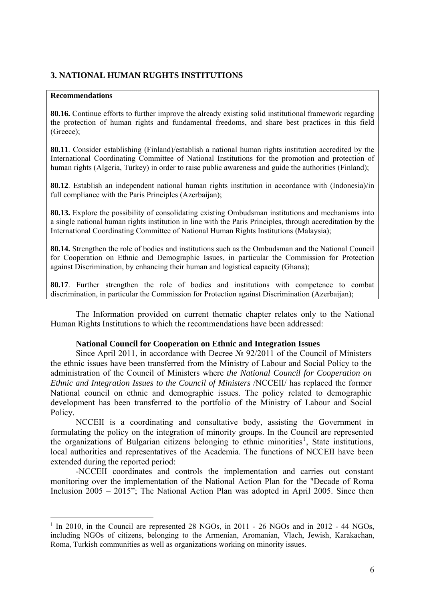## **3. NATIONAL HUMAN RUGHTS INSTITUTIONS**

#### **Recommendations**

1

**80.16.** Continue efforts to further improve the already existing solid institutional framework regarding the protection of human rights and fundamental freedoms, and share best practices in this field (Greece);

**80.11**. Consider establishing (Finland)/establish a national human rights institution accredited by the International Coordinating Committee of National Institutions for the promotion and protection of human rights (Algeria, Turkey) in order to raise public awareness and guide the authorities (Finland);

**80.12**. Establish an independent national human rights institution in accordance with (Indonesia)/in full compliance with the Paris Principles (Azerbaijan);

**80.13.** Explore the possibility of consolidating existing Ombudsman institutions and mechanisms into a single national human rights institution in line with the Paris Principles, through accreditation by the International Coordinating Committee of National Human Rights Institutions (Malaysia);

**80.14.** Strengthen the role of bodies and institutions such as the Ombudsman and the National Council for Cooperation on Ethnic and Demographic Issues, in particular the Commission for Protection against Discrimination, by enhancing their human and logistical capacity (Ghana);

**80.17**. Further strengthen the role of bodies and institutions with competence to combat discrimination, in particular the Commission for Protection against Discrimination (Azerbaijan);

The Information provided on current thematic chapter relates only to the National Human Rights Institutions to which the recommendations have been addressed:

## **National Council for Cooperation on Ethnic and Integration Issues**

Since April 2011, in accordance with Decree № 92/2011 of the Council of Ministers the ethnic issues have been transferred from the Ministry of Labour and Social Policy to the administration of the Council of Ministers where *the National Council for Cooperation on Ethnic and Integration Issues to the Council of Ministers* /NCCEII/ has replaced the former National council on ethnic and demographic issues. The policy related to demographic development has been transferred to the portfolio of the Ministry of Labour and Social Policy.

NCCEII is a coordinating and consultative body, assisting the Government in formulating the policy on the integration of minority groups. In the Council are represented the organizations of Bulgarian citizens belonging to ethnic minorities<sup>[1](#page-7-0)</sup>, State institutions, local authorities and representatives of the Academia. The functions of NCCEII have been extended during the reported period:

-NCCEII coordinates and controls the implementation and carries out constant monitoring over the implementation of the National Action Plan for the "Decade of Roma Inclusion 2005 – 2015"; The National Action Plan was adopted in April 2005. Since then

<span id="page-7-0"></span> $1$  In 2010, in the Council are represented 28 NGOs, in 2011 - 26 NGOs and in 2012 - 44 NGOs, including NGOs of citizens, belonging to the Armenian, Aromanian, Vlach, Jewish, Karakachan, Roma, Turkish communities as well as organizations working on minority issues.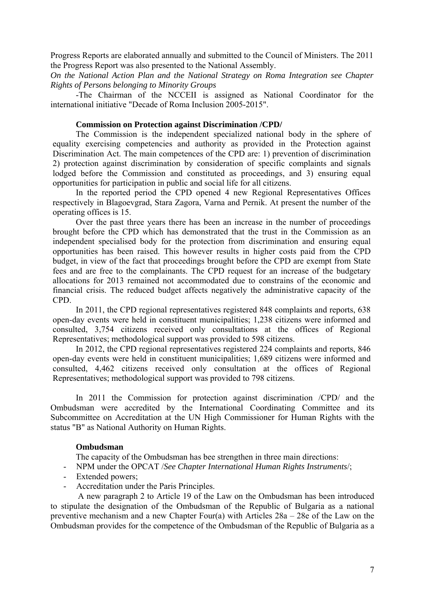Progress Reports are elaborated annually and submitted to the Council of Ministers. The 2011 the Progress Report was also presented to the National Assembly.

*On the National Action Plan and the National Strategy on Roma Integration see Chapter Rights of Persons belonging to Minority Groups* 

-The Chairman of the NCCEII is assigned as National Coordinator for the international initiative "Decade of Roma Inclusion 2005-2015".

## **Commission on Protection against Discrimination /CPD/**

The Commission is the independent specialized national body in the sphere of equality exercising competencies and authority as provided in the Protection against Discrimination Act. The main competences of the CPD are: 1) prevention of discrimination 2) protection against discrimination by consideration of specific complaints and signals lodged before the Commission and constituted as proceedings, and 3) ensuring equal opportunities for participation in public and social life for all citizens.

In the reported period the CPD opened 4 new Regional Representatives Offices respectively in Blagoevgrad, Stara Zagora, Varna and Pernik. At present the number of the operating offices is 15.

Over the past three years there has been an increase in the number of proceedings brought before the CPD which has demonstrated that the trust in the Commission as an independent specialised body for the protection from discrimination and ensuring equal opportunities has been raised. This however results in higher costs paid from the CPD budget, in view of the fact that proceedings brought before the CPD are exempt from State fees and are free to the complainants. The CPD request for an increase of the budgetary allocations for 2013 remained not accommodated due to constrains of the economic and financial crisis. The reduced budget affects negatively the administrative capacity of the CPD.

In 2011, the CPD regional representatives registered 848 complaints and reports, 638 open-day events were held in constituent municipalities; 1,238 citizens were informed and consulted, 3,754 citizens received only consultations at the offices of Regional Representatives; methodological support was provided to 598 citizens.

In 2012, the CPD regional representatives registered 224 complaints and reports, 846 open-day events were held in constituent municipalities; 1,689 citizens were informed and consulted, 4,462 citizens received only consultation at the offices of Regional Representatives; methodological support was provided to 798 citizens.

 In 2011 the Commission for protection against discrimination /CPD/ and the Ombudsman were accredited by the International Coordinating Committee and its Subcommittee on Accreditation at the UN High Commissioner for Human Rights with the status "B" as National Authority on Human Rights.

#### **Ombudsman**

The capacity of the Ombudsman has bee strengthen in three main directions:

- NPM under the OPCAT /*See Chapter International Human Rights Instruments*/;
- Extended powers;
- Accreditation under the Paris Principles.

 A new paragraph 2 to Article 19 of the Law on the Ombudsman has been introduced to stipulate the designation of the Ombudsman of the Republic of Bulgaria as a national preventive mechanism and a new Chapter Four(a) with Articles 28a – 28e of the Law on the Ombudsman provides for the competence of the Ombudsman of the Republic of Bulgaria as a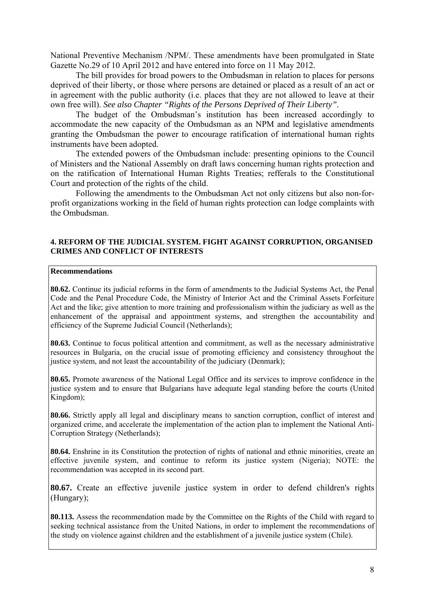National Preventive Mechanism /NPM/. These amendments have been promulgated in State Gazette No.29 of 10 April 2012 and have entered into force on 11 May 2012.

The bill provides for broad powers to the Ombudsman in relation to places for persons deprived of their liberty, or those where persons are detained or placed as a result of an act or in agreement with the public authority (i.e. places that they are not allowed to leave at their own free will). *See also Chapter "Rights of the Persons Deprived of Their Liberty".* 

The budget of the Ombudsman's institution has been increased accordingly to accommodate the new capacity of the Ombudsman as an NPM and legislative amendments granting the Ombudsman the power to encourage ratification of international human rights instruments have been adopted.

The extended powers of the Ombudsman include: presenting opinions to the Council of Ministers and the National Assembly on draft laws concerning human rights protection and on the ratification of International Human Rights Treaties; refferals to the Constitutional Court and protection of the rights of the child.

Following the amendments to the Ombudsman Act not only citizens but also non-forprofit organizations working in the field of human rights protection can lodge complaints with the Ombudsman.

#### **4. REFORM OF THE JUDICIAL SYSTEM. FIGHT AGAINST CORRUPTION, ORGANISED CRIMES AND CONFLICT OF INTERESTS**

#### **Recommendations**

**80.62.** Continue its judicial reforms in the form of amendments to the Judicial Systems Act, the Penal Code and the Penal Procedure Code, the Ministry of Interior Act and the Criminal Assets Forfeiture Act and the like; give attention to more training and professionalism within the judiciary as well as the enhancement of the appraisal and appointment systems, and strengthen the accountability and efficiency of the Supreme Judicial Council (Netherlands);

**80.63.** Continue to focus political attention and commitment, as well as the necessary administrative resources in Bulgaria, on the crucial issue of promoting efficiency and consistency throughout the justice system, and not least the accountability of the judiciary (Denmark);

**80.65.** Promote awareness of the National Legal Office and its services to improve confidence in the justice system and to ensure that Bulgarians have adequate legal standing before the courts (United Kingdom);

**80.66.** Strictly apply all legal and disciplinary means to sanction corruption, conflict of interest and organized crime, and accelerate the implementation of the action plan to implement the National Anti-Corruption Strategy (Netherlands);

**80.64.** Enshrine in its Constitution the protection of rights of national and ethnic minorities, create an effective juvenile system, and continue to reform its justice system (Nigeria); NOTE: the recommendation was accepted in its second part.

**80.67.** Create an effective juvenile justice system in order to defend children's rights (Hungary);

**80.113.** Assess the recommendation made by the Committee on the Rights of the Child with regard to seeking technical assistance from the United Nations, in order to implement the recommendations of the study on violence against children and the establishment of a juvenile justice system (Chile).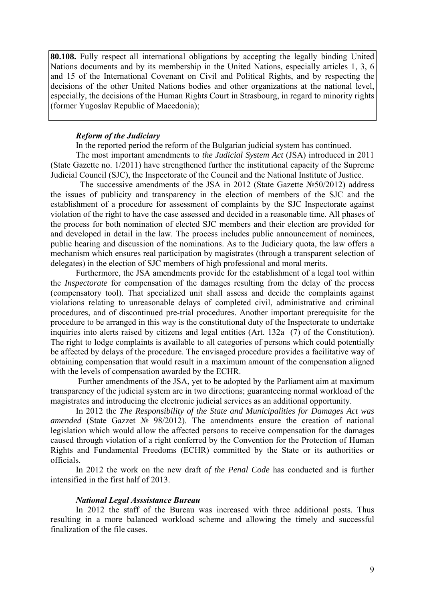**80.108.** Fully respect all international obligations by accepting the legally binding United Nations documents and by its membership in the United Nations, especially articles 1, 3, 6 and 15 of the International Covenant on Civil and Political Rights, and by respecting the decisions of the other United Nations bodies and other organizations at the national level, especially, the decisions of the Human Rights Court in Strasbourg, in regard to minority rights (former Yugoslav Republic of Macedonia);

#### **Reform of the Judiciary**

In the reported period the reform of the Bulgarian judicial system has continued.

The most important amendments to *the Judicial System Act* (JSA) introduced in 2011 (State Gazette no. 1/2011) have strengthened further the institutional capacity of the Supreme Judicial Council (SJC), the Inspectorate of the Council and the National Institute of Justice.

The successive amendments of the JSA in 2012 (State Gazette  $N\simeq$  50/2012) address the iss ues of publicity and transparency in the election of members of the SJC and the establishment of a procedure for assessment of complaints by the SJC Inspectorate against violation of the right to have the case assessed and decided in a reasonable time. All phases of the process for both nomination of elected SJC members and their election are provided for and developed in detail in the law. The process includes public announcement of nominees, public hearing and discussion of the nominations. As to the Judiciary quota, the law offers a mechanism which ensures real participation by magistrates (through a transparent selection of delegates) in the election of SJC members of high professional and moral merits.

Furthermore, the JSA amendments provide for the establishment of a legal tool within the *Inspectorate* for compensation of the damages resulting from the delay of the process (compensatory tool). That specialized unit shall assess and decide the complaints against violations relating to unreasonable delays of completed civil, administrative and criminal procedures, and of discontinued pre-trial procedures. Another important prerequisite for the procedure to be arranged in this way is the constitutional duty of the Inspectorate to undertake inquiries into alerts raised by citizens and legal entities (Art. 132a (7) of the Constitution). The right to lodge complaints is available to all categories of persons which could potentially be affected by delays of the procedure. The envisaged procedure provides a facilitative way of obtaining compensation that would result in a maximum amount of the compensation aligned with the levels of compensation awarded by the ECHR.

Further amendments of the JSA, yet to be adopted by the Parliament aim at maximum transpa rency of the judicial system are in two directions; guaranteeing normal workload of the magistrates and introducing the electronic judicial services as an additional opportunity.

In 2012 the *The Responsibility of the State and Municipalities for Damages Act was amende d* (State Gazzet № 98/2012). The amendments ensure the creation of national legislation which would allow the affected persons to receive compensation for the damages caused through violation of a right conferred by the Convention for the Protection of Human Rights and Fundamental Freedoms (ECHR) committed by the State or its authorities or officials.

In 2012 the work on the new draft of the Penal Code has conducted and is further intensif ied in the first half of 2013.

#### *National Legal Asssistance Bureau*

In 2012 the staff of the Bureau was increased with three additional posts. Thus resultin g in a more balanced workload scheme and allowing the timely and successful finalization of the file cases.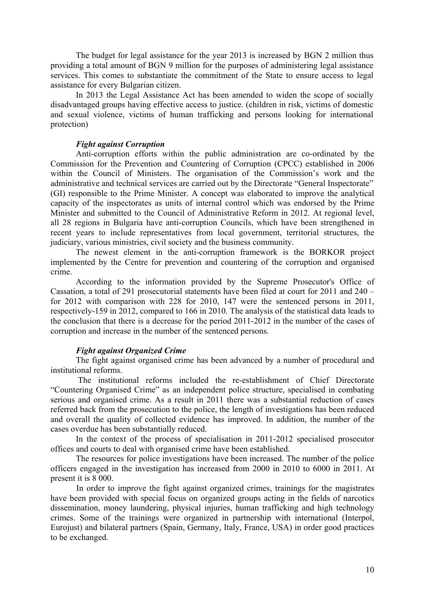The budget for legal assistance for the year 2013 is increased by BGN 2 million thus providing a total amount of BGN 9 million for the purposes of administering legal assistance services. This comes to substantiate the commitment of the State to ensure access to legal assistance for every Bulgarian citizen.

In 2013 the Legal Assistance Act has been amended to widen the scope of socially disadvantaged groups having effective access to justice. (children in risk, victims of domestic and sexual violence, victims of human trafficking and persons looking for international protection)

## *Fight against Corruption*

Anti-corruption efforts within the public administration are co-ordinated by the Commission for the Prevention and Countering of Corruption (CPCC) established in 2006 within the Council of Ministers. The organisation of the Commission's work and the administrative and technical services are carried out by the Directorate "General Inspectorate" (GI) responsible to the Prime Minister. A concept was elaborated to improve the analytical capacity of the inspectorates as units of internal control which was endorsed by the Prime Minister and submitted to the Council of Administrative Reform in 2012. At regional level, all 28 regions in Bulgaria have anti-corruption Councils, which have been strengthened in recent years to include representatives from local government, territorial structures, the judiciary, various ministries, civil society and the business community.

The newest element in the anti-corruption framework is the BORKOR project implemented by the Centre for prevention and countering of the corruption and organised crime.

According to the information provided by the Supreme Prosecutor's Office of Cassation, a total of 291 prosecutorial statements have been filed at court for 2011 and 240 – for 2012 with comparison with 228 for 2010, 147 were the sentenced persons in 2011, respectively-159 in 2012, compared to 166 in 2010. The analysis of the statistical data leads to the conclusion that there is a decrease for the period 2011-2012 in the number of the cases of corruption and increase in the number of the sentenced persons.

#### *Fight against Organized Crime*

The fight against organised crime has been advanced by a number of procedural and institutional reforms.

 The institutional reforms included the re-establishment of Chief Directorate "Countering Organised Crime" as an independent police structure, specialised in combating serious and organised crime. As a result in 2011 there was a substantial reduction of cases referred back from the prosecution to the police, the length of investigations has been reduced and overall the quality of collected evidence has improved. In addition, the number of the cases overdue has been substantially reduced.

In the context of the process of specialisation in 2011-2012 specialised prosecutor offices and courts to deal with organised crime have been established.

The resources for police investigations have been increased. The number of the police officers engaged in the investigation has increased from 2000 in 2010 to 6000 in 2011. At present it is 8 000.

In order to improve the fight against organized crimes, trainings for the magistrates have been provided with special focus on organized groups acting in the fields of narcotics dissemination, money laundering, physical injuries, human trafficking and high technology crimes. Some of the trainings were organized in partnership with international (Interpol, Eurojust) and bilateral partners (Spain, Germany, Italy, France, USA) in order good practices to be exchanged.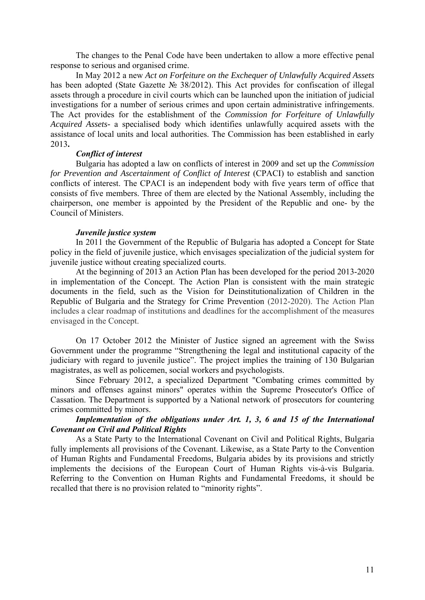The changes to the Penal Code have been undertaken to allow a more effective penal response to serious and organised crime.

In May 2012 a new *Act on Forfeiture on the Exchequer of Unlawfully Acquired Assets*  has been adopted (State Gazette № 38/2012). This Act provides for confiscation of illegal assets through a procedure in civil courts which can be launched upon the initiation of judicial investigations for a number of serious crimes and upon certain administrative infringements. The Act provides for the establishment of the *Commission for Forfeiture of Unlawfully Acquired Assets-* a specialised body which identifies unlawfully acquired assets with the assistance of local units and local authorities. The Commission has been established in early 2013**.**

#### *Conflict of interest*

Bulgaria has adopted a law on conflicts of interest in 2009 and set up the *Commission for Prevention and Ascertainment of Conflict of Interest* (CPACI) to establish and sanction conflicts of interest. The CPACI is an independent body with five years term of office that consists of five members. Three of them are elected by the National Assembly, including the chairperson, one member is appointed by the President of the Republic and one- by the Council of Ministers.

#### *Juvenile justice system*

In 2011 the Government of the Republic of Bulgaria has adopted a Concept for State policy in the field of juvenile justice, which envisages specialization of the judicial system for juvenile justice without creating specialized courts.

At the beginning of 2013 an Action Plan has been developed for the period 2013-2020 in implementation of the Concept. The Action Plan is consistent with the main strategic documents in the field, such as the Vision for Deinstitutionalization of Children in the Republic of Bulgaria and the Strategy for Crime Prevention (2012-2020). The Action Plan includes a clear roadmap of institutions and deadlines for the accomplishment of the measures envisaged in the Concept.

On 17 October 2012 the Minister of Justice signed an agreement with the Swiss Government under the programme "Strengthening the legal and institutional capacity of the judiciary with regard to juvenile justice". The project implies the training of 130 Bulgarian magistrates, as well as policemen, social workers and psychologists.

Since February 2012, a specialized Department "Combating crimes committed by minors and offenses against minors" operates within the Supreme Prosecutor's Office of Cassation. The Department is supported by a National network of prosecutors for countering crimes committed by minors.

## *Implementation of the obligations under Art. 1, 3, 6 and 15 of the International Covenant on Civil and Political Rights*

As a State Party to the International Covenant on Civil and Political Rights, Bulgaria fully implements all provisions of the Covenant. Likewise, as a State Party to the Convention of Human Rights and Fundamental Freedoms, Bulgaria abides by its provisions and strictly implements the decisions of the European Court of Human Rights vis-à-vis Bulgaria. Referring to the Convention on Human Rights and Fundamental Freedoms, it should be recalled that there is no provision related to "minority rights".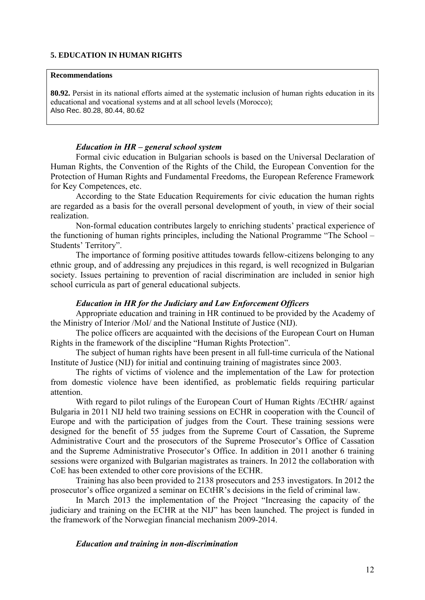#### **5. EDUCATION IN HUMAN RIGHTS**

#### **Recommendations**

**80.92.** Persist in its national efforts aimed at the systematic inclusion of human rights education in its educational and vocational systems and at all school levels (Morocco); Also Rec. 80.28, 80.44, 80.62

## *Education in HR – general school system*

Formal civic education in Bulgarian schools is based on the Universal Declaration of Human Rights, the Convention of the Rights of the Child, the European Convention for the Protection of Human Rights and Fundamental Freedoms, the European Reference Framework for Key Competences, etc.

According to the State Education Requirements for civic education the human rights are regarded as a basis for the overall personal development of youth, in view of their social realization.

Non-formal education contributes largely to enriching students' practical experience of the functioning of human rights principles, including the National Programme "The School – Students' Territory".

The importance of forming positive attitudes towards fellow-citizens belonging to any ethnic group, and of addressing any prejudices in this regard, is well recognized in Bulgarian society. Issues pertaining to prevention of racial discrimination are included in senior high school curricula as part of general educational subjects.

## *Education in HR for the Judiciary and Law Enforcement Officers*

Appropriate education and training in HR continued to be provided by the Academy of the Ministry of Interior /MoI/ and the National Institute of Justice (NIJ).

The police officers are acquainted with the decisions of the European Court on Human Rights in the framework of the discipline "Human Rights Protection".

The subject of human rights have been present in all full-time curricula of the National Institute of Justice (NIJ) for initial and continuing training of magistrates since 2003.

The rights of victims of violence and the implementation of the Law for protection from domestic violence have been identified, as problematic fields requiring particular attention.

With regard to pilot rulings of the European Court of Human Rights */ECtHR*/ against Bulgaria in 2011 NIJ held two training sessions on ECHR in cooperation with the Council of Europe and with the participation of judges from the Court. These training sessions were designed for the benefit of 55 judges from the Supreme Court of Cassation, the Supreme Administrative Court and the prosecutors of the Supreme Prosecutor's Office of Cassation and the Supreme Administrative Prosecutor's Office. In addition in 2011 another 6 training sessions were organized with Bulgarian magistrates as trainers. In 2012 the collaboration with CoE has been extended to other core provisions of the ECHR.

Training has also been provided to 2138 prosecutors and 253 investigators. In 2012 the prosecutor's office organized a seminar on ECtHR's decisions in the field of criminal law.

In March 2013 the implementation of the Project "Increasing the capacity of the judiciary and training on the ECHR at the NIJ" has been launched. The project is funded in the framework of the Norwegian financial mechanism 2009-2014.

#### *Education and training in non-discrimination*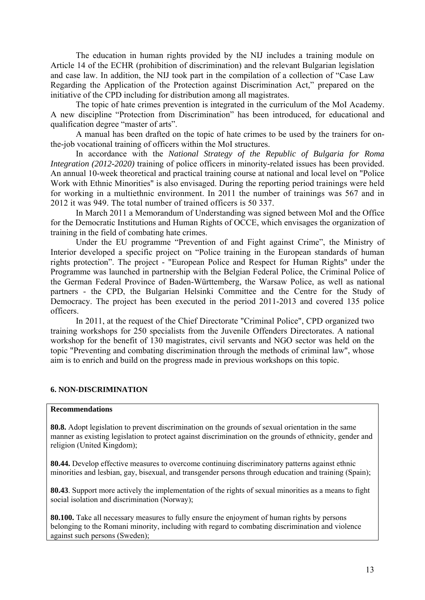The education in human rights provided by the NIJ includes a training module on Article 14 of the ECHR (prohibition of discrimination) and the relevant Bulgarian legislation and case law. In addition, the NIJ took part in the compilation of a collection of "Case Law Regarding the Application of the Protection against Discrimination Act," prepared on the initiative of the CPD including for distribution among all magistrates.

The topic of hate crimes prevention is integrated in the curriculum of the MoI Academy. A new discipline "Protection from Discrimination" has been introduced, for educational and qualification degree "master of arts".

A manual has been drafted on the topic of hate crimes to be used by the trainers for onthe-job vocational training of officers within the MoI structures.

In accordance with the *National Strategy of the Republic of Bulgaria for Roma Integration (2012-2020)* training of police officers in minority-related issues has been provided. An annual 10-week theoretical and practical training course at national and local level on "Police Work with Ethnic Minorities" is also envisaged. During the reporting period trainings were held for working in a multiethnic environment. In 2011 the number of trainings was 567 and in 2012 it was 949. The total number of trained officers is 50 337.

In March 2011 a Memorandum of Understanding was signed between MoI and the Office for the Democratic Institutions and Human Rights of ОССЕ, which envisages the organization of training in the field of combating hate crimes.

Under the EU programme "Prevention of and Fight against Crime", the Ministry of Interior developed a specific project on "Police training in the European standards of human rights protection". The project - "European Police and Respect for Human Rights" under the Programme was launched in partnership with the Belgian Federal Police, the Criminal Police of the German Federal Province of Baden-Württemberg, the Warsaw Police, as well as national partners - the CPD, the Bulgarian Helsinki Committee and the Centre for the Study of Democracy. The project has been executed in the period 2011-2013 and covered 135 police officers.

In 2011, at the request of the Chief Directorate "Criminal Police", CPD organized two training workshops for 250 specialists from the Juvenile Offenders Directorates. A national workshop for the benefit of 130 magistrates, civil servants and NGO sector was held on the topic "Preventing and combating discrimination through the methods of criminal law", whose aim is to enrich and build on the progress made in previous workshops on this topic.

## **6. NON-DISCRIMINATION**

#### **Recommendations**

**80.8.** Adopt legislation to prevent discrimination on the grounds of sexual orientation in the same manner as existing legislation to protect against discrimination on the grounds of ethnicity, gender and religion (United Kingdom);

**80.44.** Develop effective measures to overcome continuing discriminatory patterns against ethnic minorities and lesbian, gay, bisexual, and transgender persons through education and training (Spain);

**80.43**. Support more actively the implementation of the rights of sexual minorities as a means to fight social isolation and discrimination (Norway);

**80.100.** Take all necessary measures to fully ensure the enjoyment of human rights by persons belonging to the Romani minority, including with regard to combating discrimination and violence against such persons (Sweden);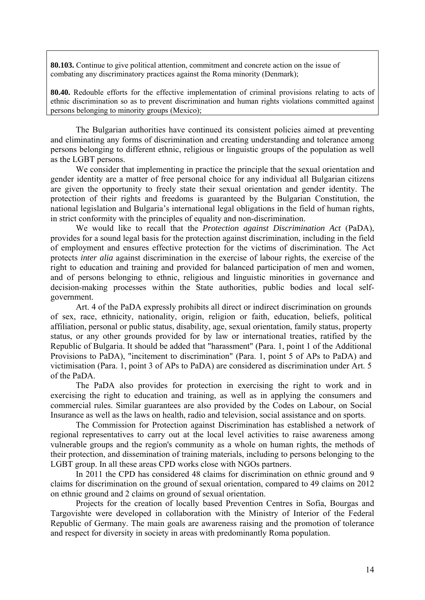**80.103.** Continue to give political attention, commitment and concrete action on the issue of combating any discriminatory practices against the Roma minority (Denmark);

**80.40.** Redouble efforts for the effective implementation of criminal provisions relating to acts of ethnic discrimination so as to prevent discrimination and human rights violations committed against persons belonging to minority groups (Mexico);

The Bulgarian authorities have continued its consistent policies aimed at preventing and eliminating any forms of discrimination and creating understanding and tolerance among persons belonging to different ethnic, religious or linguistic groups of the population as well as the LGBT persons.

We consider that implementing in practice the principle that the sexual orientation and gender identity are a matter of free personal choice for any individual all Bulgarian citizens are given the opportunity to freely state their sexual orientation and gender identity. The protection of their rights and freedoms is guaranteed by the Bulgarian Constitution, the national legislation and Bulgaria's international legal obligations in the field of human rights, in strict conformity with the principles of equality and non-discrimination.

We would like to recall that the *Protection against Discrimination Act* (PaDA), provides for a sound legal basis for the protection against discrimination, including in the field of employment and ensures effective protection for the victims of discrimination. The Act protects *inter alia* against discrimination in the exercise of labour rights, the exercise of the right to education and training and provided for balanced participation of men and women, and of persons belonging to ethnic, religious and linguistic minorities in governance and decision-making processes within the State authorities, public bodies and local selfgovernment.

Art. 4 of the PaDA expressly prohibits all direct or indirect discrimination on grounds of sex, race, ethnicity, nationality, origin, religion or faith, education, beliefs, political affiliation, personal or public status, disability, age, sexual orientation, family status, property status, or any other grounds provided for by law or international treaties, ratified by the Republic of Bulgaria. It should be added that "harassment" (Para. 1, point 1 of the Additional Provisions to PaDA), "incitement to discrimination" (Para. 1, point 5 of APs to PaDA) and victimisation (Para. 1, point 3 of APs to PaDA) are considered as discrimination under Art. 5 of the PaDA.

The PaDA also provides for protection in exercising the right to work and in exercising the right to education and training, as well as in applying the consumers and commercial rules. Similar guarantees are also provided by the Codes on Labour, on Social Insurance as well as the laws on health, radio and television, social assistance and on sports.

The Commission for Protection against Discrimination has established a network of regional representatives to carry out at the local level activities to raise awareness among vulnerable groups and the region's community as a whole on human rights, the methods of their protection, and dissemination of training materials, including to persons belonging to the LGBT group. In all these areas CPD works close with NGOs partners.

In 2011 the CPD has considered 48 claims for discrimination on ethnic ground and 9 claims for discrimination on the ground of sexual orientation, compared to 49 claims on 2012 on ethnic ground and 2 claims on ground of sexual orientation.

Projects for the creation of locally based Prevention Centres in Sofia, Bourgas and Targovishte were developed in collaboration with the Ministry of Interior of the Federal Republic of Germany. The main goals are awareness raising and the promotion of tolerance and respect for diversity in society in areas with predominantly Roma population.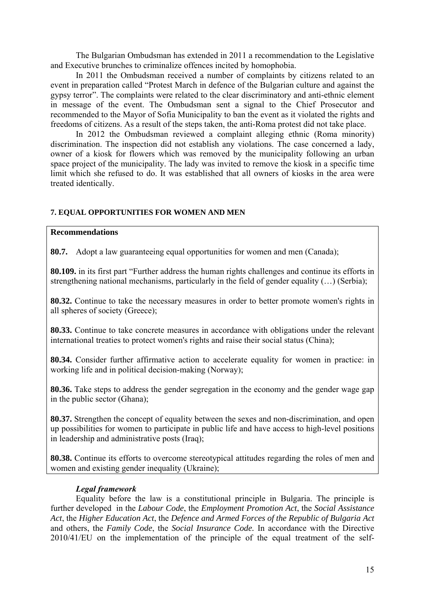The Bulgarian Ombudsman has extended in 2011 a recommendation to the Legislative and Executive brunches to criminalize offences incited by homophobia.

In 2011 the Ombudsman received a number of complaints by citizens related to an event in preparation called "Protest March in defence of the Bulgarian culture and against the gypsy terror". The complaints were related to the clear discriminatory and anti-ethnic element in message of the event. The Ombudsman sent a signal to the Chief Prosecutor and recommended to the Mayor of Sofia Municipality to ban the event as it violated the rights and freedoms of citizens. As a result of the steps taken, the anti-Roma protest did not take place.

In 2012 the Ombudsman reviewed a complaint alleging ethnic (Roma minority) discrimination. The inspection did not establish any violations. The case concerned a lady, owner of a kiosk for flowers which was removed by the municipality following an urban space project of the municipality. The lady was invited to remove the kiosk in a specific time limit which she refused to do. It was established that all owners of kiosks in the area were treated identically.

## **7. EQUAL OPPORTUNITIES FOR WOMEN AND MEN**

## **Recommendations**

**80.7.** Adopt a law guaranteeing equal opportunities for women and men (Canada);

**80.109.** in its first part "Further address the human rights challenges and continue its efforts in strengthening national mechanisms, particularly in the field of gender equality (…) (Serbia);

**80.32.** Continue to take the necessary measures in order to better promote women's rights in all spheres of society (Greece);

**80.33.** Continue to take concrete measures in accordance with obligations under the relevant international treaties to protect women's rights and raise their social status (China);

**80.34.** Consider further affirmative action to accelerate equality for women in practice: in working life and in political decision-making (Norway);

**80.36.** Take steps to address the gender segregation in the economy and the gender wage gap in the public sector (Ghana);

**80.37.** Strengthen the concept of equality between the sexes and non-discrimination, and open up possibilities for women to participate in public life and have access to high-level positions in leadership and administrative posts (Iraq);

**80.38.** Continue its efforts to overcome stereotypical attitudes regarding the roles of men and women and existing gender inequality (Ukraine);

## *Legal framework*

Equality before the law is a constitutional principle in Bulgaria. The principle is further developed in the *Labour Code*, the *Employment Promotion Act*, the *Social Assistance Act*, the *Higher Education Act*, the *Defence and Armed Forces of the Republic of Bulgaria Act* and others, the *Family Code*, the *Social Insurance Code.* In accordance with the Directive 2010/41/EU on the implementation of the principle of the equal treatment of the self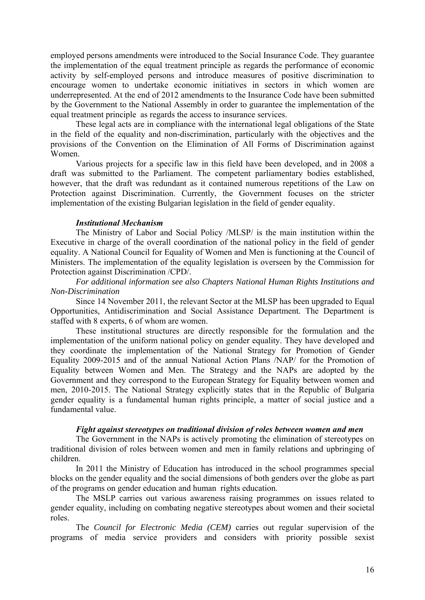employed persons amendments were introduced to the Social Insurance Code. They guarantee the implementation of the equal treatment principle as regards the performance of economic activity by self-employed persons and introduce measures of positive discrimination to encourage women to undertake economic initiatives in sectors in which women are underrepresented. At the end of 2012 amendments to the Insurance Code have been submitted by the Government to the National Assembly in order to guarantee the implementation of the equal treatment principle as regards the access to insurance services.

These legal acts are in compliance with the international legal obligations of the State in the field of the equality and non-discrimination, particularly with the objectives and the provisions of the Convention on the Elimination of All Forms of Discrimination against Women.

Various projects for a specific law in this field have been developed, and in 2008 a draft was submitted to the Parliament. The competent parliamentary bodies established, however, that the draft was redundant as it contained numerous repetitions of the Law on Protection against Discrimination. Currently, the Government focuses on the stricter implementation of the existing Bulgarian legislation in the field of gender equality.

## *Institutional Mechanism*

The Ministry of Labor and Social Policy /MLSP/ is the main institution within the Executive in charge of the overall coordination of the national policy in the field of gender equality. A National Council for Equality of Women and Men is functioning at the Council of Ministers. The implementation of the equality legislation is overseen by the Commission for Protection against Discrimination /CPD/.

## *For additional information see also Chapters National Human Rights Institutions and Non-Discrimination*

Since 14 November 2011, the relevant Sector at the MLSP has been upgraded to Equal Opportunities, Antidiscrimination and Social Assistance Department*.* The Department is staffed with 8 experts, 6 of whom are women.

These institutional structures are directly responsible for the formulation and the implementation of the uniform national policy on gender equality. They have developed and they coordinate the implementation of the National Strategy for Promotion of Gender Equality 2009-2015 and of the annual National Action Plans /NAP/ for the Promotion of Equality between Women and Men. The Strategy and the NAPs are adopted by the Government and they correspond to the European Strategy for Equality between women and men, 2010-2015. The National Strategy explicitly states that in the Republic of Bulgaria gender equality is a fundamental human rights principle, a matter of social justice and a fundamental value.

#### *Fight against stereotypes on traditional division of roles between women and men*

The Government in the NAPs is actively promoting the elimination of stereotypes on traditional division of roles between women and men in family relations and upbringing of children.

In 2011 the Ministry of Education has introduced in the school programmes special blocks on the gender equality and the social dimensions of both genders over the globe as part of the programs on gender education and human rights education.

The MSLP carries out various awareness raising programmes on issues related to gender equality, including on combating negative stereotypes about women and their societal roles.

The *Council for Electronic Media (CEM)* carries out regular supervision of the programs of media service providers and considers with priority possible sexist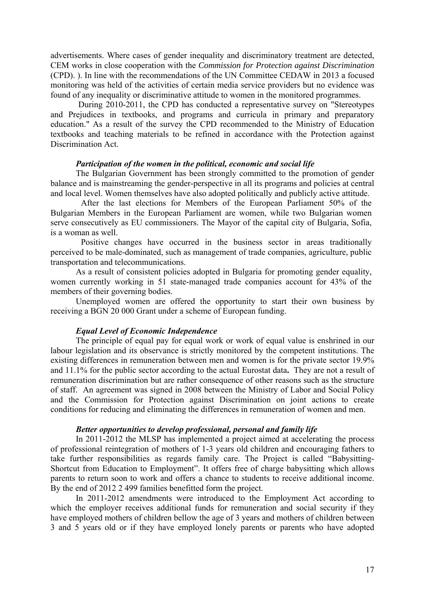advertisements. Where cases of gender inequality and discriminatory treatment are detected, CEM works in close cooperation with the *Commission for Protection against Discrimination* (CPD). ). In line with the recommendations of the UN Committee CEDAW in 2013 a focused monitoring was held of the activities of certain media service providers but no evidence was found of any inequality or discriminative attitude to women in the monitored programmes.

 During 2010-2011, the CPD has conducted a representative survey on "Stereotypes and Prejudices in textbooks, and programs and curricula in primary and preparatory education." As a result of the survey the CPD recommended to the Ministry of Education textbooks and teaching materials to be refined in accordance with the Protection against Discrimination Act.

#### *Participation of the women in the political, economic and social life*

The Bulgarian Government has been strongly committed to the promotion of gender balance and is mainstreaming the gender-perspective in all its programs and policies at central and local level. Women themselves have also adopted politically and publicly active attitude.

 After the last elections for Members of the European Parliament 50% of the Bulgarian Members in the European Parliament are women, while two Bulgarian women serve consecutively as EU commissioners. The Mayor of the capital city of Bulgaria, Sofia, is a woman as well.

 Positive changes have occurred in the business sector in areas traditionally perceived to be male-dominated, such as management of trade companies, agriculture, public transportation and telecommunications.

As a result of consistent policies adopted in Bulgaria for promoting gender equality, women currently working in 51 state-managed trade companies account for 43% of the members of their governing bodies.

Unemployed women are offered the opportunity to start their own business by receiving a BGN 20 000 Grant under a scheme of European funding.

#### *Equal Level of Economic Independence*

The principle of equal pay for equal work or work of equal value is enshrined in our labour legislation and its observance is strictly monitored by the competent institutions. The existing differences in remuneration between men and women is for the private sector 19.9% and 11.1% for the public sector according to the actual Eurostat data**.** They are not a result of remuneration discrimination but are rather consequence of other reasons such as the structure of staff. An agreement was signed in 2008 between the Ministry of Labor and Social Policy and the Commission for Protection against Discrimination on joint actions to create conditions for reducing and eliminating the differences in remuneration of women and men.

#### *Better opportunities to develop professional, personal and family life*

In 2011-2012 the MLSP has implemented a project aimed at accelerating the process of professional reintegration of mothers of 1-3 years old children and encouraging fathers to take further responsibilities as regards family care. The Project is called "Babysitting-Shortcut from Education to Employment". It offers free of charge babysitting which allows parents to return soon to work and offers a chance to students to receive additional income. By the end of 2012 2 499 families benefitted form the project.

In 2011-2012 amendments were introduced to the Employment Act according to which the employer receives additional funds for remuneration and social security if they have employed mothers of children bellow the age of 3 years and mothers of children between 3 and 5 years old or if they have employed lonely parents or parents who have adopted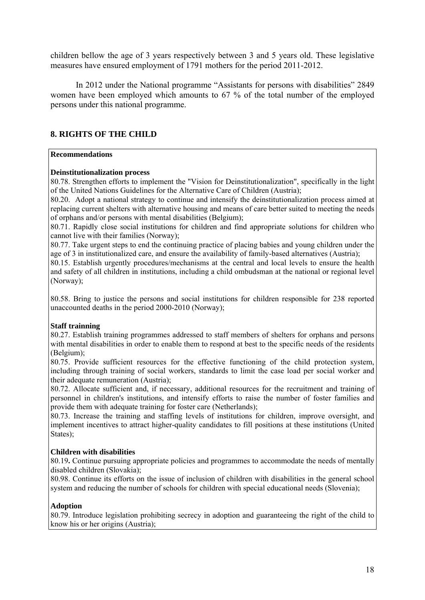children bellow the age of 3 years respectively between 3 and 5 years old. These legislative measures have ensured employment of 1791 mothers for the period 2011-2012.

In 2012 under the National programme "Assistants for persons with disabilities" 2849 women have been employed which amounts to 67 % of the total number of the employed persons under this national programme.

## **8. RIGHTS OF THE CHILD**

#### **Recommendations**

## **Deinstitutionalization process**

80.78. Strengthen efforts to implement the "Vision for Deinstitutionalization", specifically in the light of the United Nations Guidelines for the Alternative Care of Children (Austria);

80.20. Adopt a national strategy to continue and intensify the deinstitutionalization process aimed at replacing current shelters with alternative housing and means of care better suited to meeting the needs of orphans and/or persons with mental disabilities (Belgium);

80.71. Rapidly close social institutions for children and find appropriate solutions for children who cannot live with their families (Norway);

80.77. Take urgent steps to end the continuing practice of placing babies and young children under the age of 3 in institutionalized care, and ensure the availability of family-based alternatives (Austria);

80.15. Establish urgently procedures/mechanisms at the central and local levels to ensure the health and safety of all children in institutions, including a child ombudsman at the national or regional level (Norway);

80.58. Bring to justice the persons and social institutions for children responsible for 238 reported unaccounted deaths in the period 2000-2010 (Norway);

## **Staff trainning**

80.27. Establish training programmes addressed to staff members of shelters for orphans and persons with mental disabilities in order to enable them to respond at best to the specific needs of the residents (Belgium);

80.75. Provide sufficient resources for the effective functioning of the child protection system, including through training of social workers, standards to limit the case load per social worker and their adequate remuneration (Austria);

80.72. Allocate sufficient and, if necessary, additional resources for the recruitment and training of personnel in children's institutions, and intensify efforts to raise the number of foster families and provide them with adequate training for foster care (Netherlands);

80.73. Increase the training and staffing levels of institutions for children, improve oversight, and implement incentives to attract higher-quality candidates to fill positions at these institutions (United States):

## **Children with disabilities**

80.19**.** Continue pursuing appropriate policies and programmes to accommodate the needs of mentally disabled children (Slovakia);

80.98. Continue its efforts on the issue of inclusion of children with disabilities in the general school system and reducing the number of schools for children with special educational needs (Slovenia);

## **Adoption**

80.79. Introduce legislation prohibiting secrecy in adoption and guaranteeing the right of the child to know his or her origins (Austria);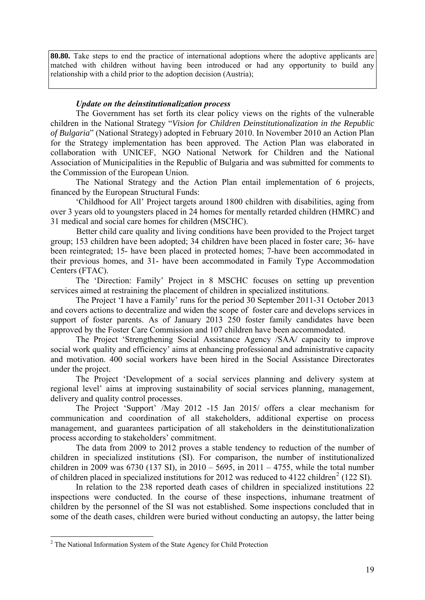**80.80.** Take steps to end the practice of international adoptions where the adoptive applicants are matched with children without having been introduced or had any opportunity to build any relationship with a child prior to the adoption decision (Austria);

## *Update on the deinstitutionalization process*

The Government has set forth its clear policy views on the rights of the vulnerable children in the National Strategy "*Vision for Children Deinstitutionalization in the Republic of Bulgaria*" (National Strategy) adopted in February 2010. In November 2010 an Action Plan for the Strategy implementation has been approved. The Action Plan was elaborated in collaboration with UNICEF, NGO National Network for Children and the National Association of Municipalities in the Republic of Bulgaria and was submitted for comments to the Commission of the European Union.

The National Strategy and the Action Plan entail implementation of 6 projects, financed by the European Structural Funds:

'Childhood for All' Project targets around 1800 children with disabilities, aging from over 3 years old to youngsters placed in 24 homes for mentally retarded children (HMRC) and 31 medical and social care homes for children (MSCHC).

 Better child care quality and living conditions have been provided to the Project target group; 153 children have been adopted; 34 children have been placed in foster care; 36- have been reintegrated; 15- have been placed in protected homes; 7-have been accommodated in their previous homes, and 31- have been accommodated in Family Type Accommodation Centers (FTAC).

The 'Direction: Family' Project in 8 MSCHC focuses on setting up prevention services aimed at restraining the placement of children in specialized institutions.

The Project 'I have a Family' runs for the period 30 September 2011-31 October 2013 and covers actions to decentralize and widen the scope of foster care and develops services in support of foster parents. As of January 2013 250 foster family candidates have been approved by the Foster Care Commission and 107 children have been accommodated.

The Project 'Strengthening Social Assistance Agency /SAA/ capacity to improve social work quality and efficiency' aims at enhancing professional and administrative capacity and motivation. 400 social workers have been hired in the Social Assistance Directorates under the project.

The Project 'Development of a social services planning and delivery system at regional level' aims at improving sustainability of social services planning, management, delivery and quality control processes.

The Project 'Support' /May 2012 -15 Jan 2015/ offers a clear mechanism for communication and coordination of all stakeholders, additional expertise on process management, and guarantees participation of all stakeholders in the deinstitutionalization process according to stakeholders' commitment.

The data from 2009 to 2012 proves a stable tendency to reduction of the number of children in specialized institutions (SI). For comparison, the number of institutionalized children in 2009 was 6730 (137 SI), in 2010 – 5695, in 2011 – 4755, while the total number of children placed in specialized institutions for [2](#page-20-0)012 was reduced to  $4122$  children<sup>2</sup> (122 SI).

In relation to the 238 reported death cases of children in specialized institutions 22 inspections were conducted. In the course of these inspections, inhumane treatment of children by the personnel of the SI was not established. Some inspections concluded that in some of the death cases, children were buried without conducting an autopsy, the latter being

<span id="page-20-0"></span><sup>&</sup>lt;sup>2</sup> The National Information System of the State Agency for Child Protection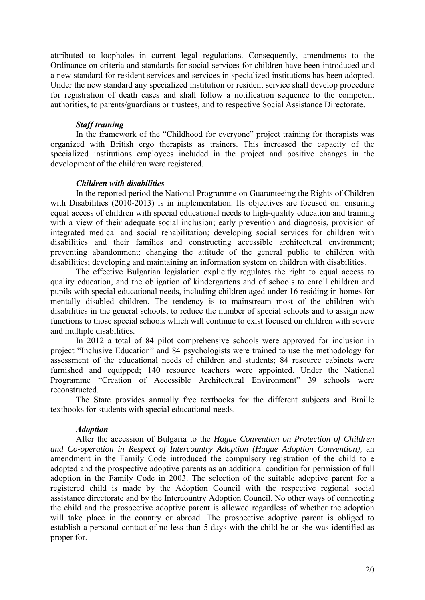attributed to loopholes in current legal regulations. Consequently, amendments to the Ordinance on criteria and standards for social services for children have been introduced and a new standard for resident services and services in specialized institutions has been adopted. Under the new standard any specialized institution or resident service shall develop procedure for registration of death cases and shall follow a notification sequence to the competent authorities, to parents/guardians or trustees, and to respective Social Assistance Directorate.

## *Staff training*

In the framework of the "Childhood for everyone" project training for therapists was organized with British ergo therapists as trainers. This increased the capacity of the specialized institutions employees included in the project and positive changes in the development of the children were registered.

## *Children with disabilities*

In the reported period the National Programme on Guaranteeing the Rights of Children with Disabilities (2010-2013) is in implementation. Its objectives are focused on: ensuring equal access of children with special educational needs to high-quality education and training with a view of their adequate social inclusion; early prevention and diagnosis, provision of integrated medical and social rehabilitation; developing social services for children with disabilities and their families and constructing accessible architectural environment; preventing abandonment; changing the attitude of the general public to children with disabilities; developing and maintaining an information system on children with disabilities.

The effective Bulgarian legislation explicitly regulates the right to equal access to quality education, and the obligation of kindergartens and of schools to enroll children and pupils with special educational needs, including children aged under 16 residing in homes for mentally disabled children. The tendency is to mainstream most of the children with disabilities in the general schools, to reduce the number of special schools and to assign new functions to those special schools which will continue to exist focused on children with severe and multiple disabilities.

In 2012 a total of 84 pilot comprehensive schools were approved for inclusion in project "Inclusive Education" and 84 psychologists were trained to use the methodology for assessment of the educational needs of children and students; 84 resource cabinets were furnished and equipped; 140 resource teachers were appointed. Under the National Programme "Creation of Accessible Architectural Environment" 39 schools were reconstructed.

The State provides annually free textbooks for the different subjects and Braille textbooks for students with special educational needs.

## *Adoption*

After the accession of Bulgaria to the *Hague Convention on Protection of Children and Co-operation in Respect of Intercountry Adoption (Hague Adoption Convention),* an amendment in the Family Code introduced the compulsory registration of the child to e adopted and the prospective adoptive parents as an additional condition for permission of full adoption in the Family Code in 2003. The selection of the suitable adoptive parent for a registered child is made by the Adoption Council with the respective regional social assistance directorate and by the Intercountry Adoption Council. No other ways of connecting the child and the prospective adoptive parent is allowed regardless of whether the adoption will take place in the country or abroad. The prospective adoptive parent is obliged to establish a personal contact of no less than 5 days with the child he or she was identified as proper for.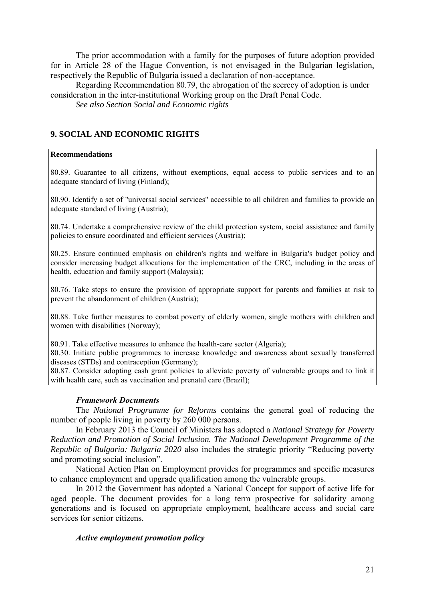The prior accommodation with a family for the purposes of future adoption provided for in Article 28 of the Hague Convention, is not envisaged in the Bulgarian legislation, respectively the Republic of Bulgaria issued a declaration of non-acceptance.

Regarding Recommendation 80.79, the abrogation of the secrecy of adoption is under consideration in the inter-institutional Working group on the Draft Penal Code.

*See also Section Social and Economic rights* 

## **9. SOCIAL AND ECONOMIC RIGHTS**

### **Recommendations**

80.89. Guarantee to all citizens, without exemptions, equal access to public services and to an adequate standard of living (Finland);

80.90. Identify a set of "universal social services" accessible to all children and families to provide an adequate standard of living (Austria);

80.74. Undertake a comprehensive review of the child protection system, social assistance and family policies to ensure coordinated and efficient services (Austria);

80.25. Ensure continued emphasis on children's rights and welfare in Bulgaria's budget policy and consider increasing budget allocations for the implementation of the CRC, including in the areas of health, education and family support (Malaysia);

80.76. Take steps to ensure the provision of appropriate support for parents and families at risk to prevent the abandonment of children (Austria);

80.88. Take further measures to combat poverty of elderly women, single mothers with children and women with disabilities (Norway);

80.91. Take effective measures to enhance the health-care sector (Algeria);

80.30. Initiate public programmes to increase knowledge and awareness about sexually transferred diseases (STDs) and contraception (Germany);

80.87. Consider adopting cash grant policies to alleviate poverty of vulnerable groups and to link it with health care, such as vaccination and prenatal care (Brazil);

## *Framework Documents*

The *National Programme for Reforms* contains the general goal of reducing the number of people living in poverty by 260 000 persons.

In February 2013 the Council of Ministers has adopted a *National Strategy for Poverty Reduction and Promotion of Social Inclusion. The National Development Programme of the Republic of Bulgaria: Bulgaria 2020* also includes the strategic priority "Reducing poverty and promoting social inclusion".

National Action Plan on Employment provides for programmes and specific measures to enhance employment and upgrade qualification among the vulnerable groups.

In 2012 the Government has adopted a National Concept for support of active life for aged people. The document provides for a long term prospective for solidarity among generations and is focused on appropriate employment, healthcare access and social care services for senior citizens.

## *Active employment promotion policy*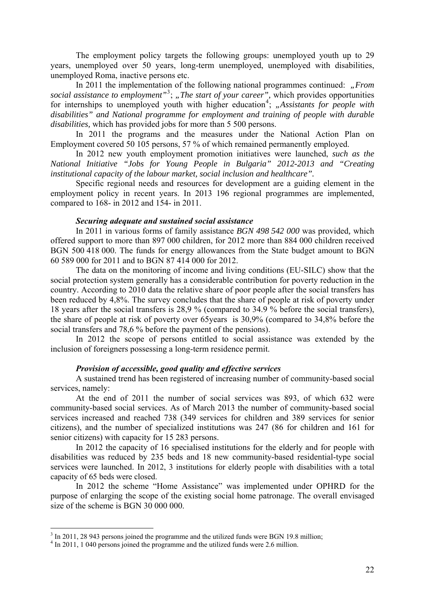The employment policy targets the following groups: unemployed youth up to 29 years, unemployed over 50 years, long-term unemployed, unemployed with disabilities, unemployed Roma, inactive persons etc.

In 2011 the implementation of the following national programmes continued: *"From* social assistance to employment<sup>"[3](#page-23-0)</sup>; "The start of your career", which provides opportunities for internships to unemployed youth with higher education<sup>[4](#page-23-1)</sup>; "Assistants for people with *disabilities" and National programme for employment and training of people with durable disabilities,* which has provided jobs for more than 5 500 persons.

In 2011 the programs and the measures under the National Action Plan on Employment covered 50 105 persons, 57 % of which remained permanently employed.

In 2012 new youth employment promotion initiatives were launched, *such as the National Initiative "Jobs for Young People in Bulgaria" 2012-2013 and "Creating institutional capacity of the labour market, social inclusion and healthcare".* 

Specific regional needs and resources for development are a guiding element in the employment policy in recent years. In 2013 196 regional programmes are implemented, compared to 168- in 2012 and 154- in 2011.

#### *Securing adequate and sustained social assistance*

In 2011 in various forms of family assistance *BGN 498 542 000* was provided*,* which offered support to more than 897 000 children, for 2012 more than 884 000 children received BGN 500 418 000. The funds for energy allowances from the State budget amount to BGN 60 589 000 for 2011 and to BGN 87 414 000 for 2012.

The data on the monitoring of income and living conditions (EU-SILC) show that the social protection system generally has a considerable contribution for poverty reduction in the country. According to 2010 data the relative share of poor people after the social transfers has been reduced by 4,8%. The survey concludes that the share of people at risk of poverty under 18 years after the social transfers is 28,9 % (compared to 34.9 % before the social transfers), the share of people at risk of poverty over 65years is 30,9% (compared to 34,8% before the social transfers and 78,6 % before the payment of the pensions).

In 2012 the scope of persons entitled to social assistance was extended by the inclusion of foreigners possessing a long-term residence permit.

## *Provision of accessible, good quality and effective services*

A sustained trend has been registered of increasing number of community-based social services, namely:

At the end of 2011 the number of social services was 893, of which 632 were community-based social services. As of March 2013 the number of community-based social services increased and reached 738 (349 services for children and 389 services for senior citizens), and the number of specialized institutions was 247 (86 for children and 161 for senior citizens) with capacity for 15 283 persons.

In 2012 the capacity of 16 specialised institutions for the elderly and for people with disabilities was reduced by 235 beds and 18 new community-based residential-type social services were launched. In 2012, 3 institutions for elderly people with disabilities with a total capacity of 65 beds were closed.

In 2012 the scheme "Home Assistance" was implemented under OPHRD for the purpose of enlarging the scope of the existing social home patronage. The overall envisaged size of the scheme is BGN 30 000 000.

1

<span id="page-23-0"></span><sup>&</sup>lt;sup>3</sup> In 2011, 28 943 persons joined the programme and the utilized funds were BGN 19.8 million;

<span id="page-23-1"></span><sup>&</sup>lt;sup>4</sup> In 2011, 1 040 persons joined the programme and the utilized funds were 2.6 million.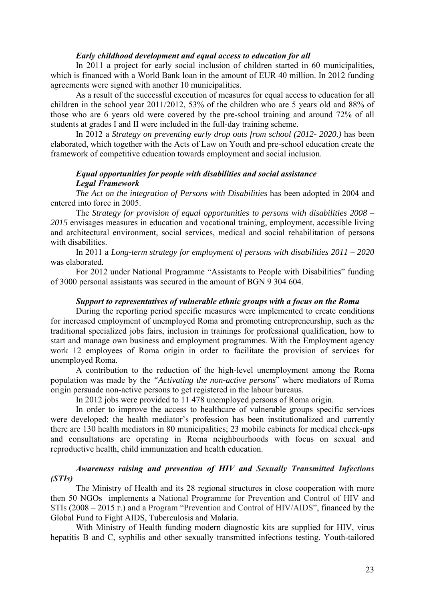#### *Early childhood development and equal access to education for all*

In 2011 a project for early social inclusion of children started in 60 municipalities, which is financed with a World Bank loan in the amount of EUR 40 million. In 2012 funding agreements were signed with another 10 municipalities.

As a result of the successful execution of measures for equal access to education for all children in the school year 2011/2012, 53% of the children who are 5 years old and 88% of those who are 6 years old were covered by the pre-school training and around 72% of all students at grades І and ІІ were included in the full-day training scheme.

In 2012 a *Strategy on preventing early drop outs from school (2012- 2020.)* has been elaborated, which together with the Acts of Law on Youth and pre-school education create the framework of competitive education towards employment and social inclusion.

## *Equal opportunities for people with disabilities and social assistance Legal Framework*

*The Act on the integration of Persons with Disabilities* has been adopted in 2004 and entered into force in 2005.

The *Strategy for provision of equal opportunities to persons with disabilities 2008 – 2015* envisages measures in education and vocational training, employment, accessible living and architectural environment, social services, medical and social rehabilitation of persons with disabilities.

In 2011 a *Long-term strategy for employment of persons with disabilities 2011 – 2020*  was elaborated*.* 

For 2012 under National Programme "Assistants to People with Disabilities" funding of 3000 personal assistants was secured in the amount of BGN 9 304 604.

## *Support to representatives of vulnerable ethnic groups with a focus on the Roma*

During the reporting period specific measures were implemented to create conditions for increased employment of unemployed Roma and promoting entrepreneurship, such as the traditional specialized jobs fairs, inclusion in trainings for professional qualification, how to start and manage own business and employment programmes. With the Employment agency work 12 employees of Roma origin in order to facilitate the provision of services for unemployed Roma.

A contribution to the reduction of the high-level unemployment among the Roma population was made by the *"Activating the non-active persons*" where mediators of Roma origin persuade non-active persons to get registered in the labour bureaus.

In 2012 jobs were provided to 11 478 unemployed persons of Roma origin.

In order to improve the access to healthcare of vulnerable groups specific services were developed: the health mediator's profession has been institutionalized and currently there are 130 health mediators in 80 municipalities; 23 mobile cabinets for medical check-ups and consultations are operating in Roma neighbourhoods with focus on sexual and reproductive health, child immunization and health education.

*Awareness raising and prevention of HIV and Sexually Transmitted Infections (STIs)* 

The Ministry of Health and its 28 regional structures in close cooperation with more then 50 NGOs implements a National Programme for Prevention and Control of HIV and STIs (2008 – 2015 г.) and a Program "Prevention and Control of HIV/AIDS", financed by the Global Fund to Fight AIDS, Tuberculosis and Malaria*.* 

With Ministry of Health funding modern diagnostic kits are supplied for HIV, virus hepatitis B and C, syphilis and other sexually transmitted infections testing. Youth-tailored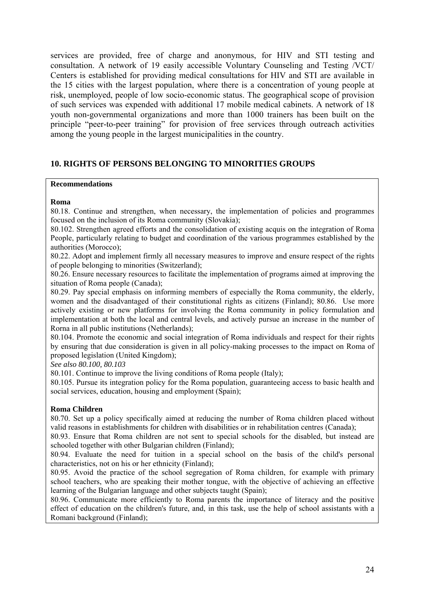services are provided, free of charge and anonymous, for HIV and STI testing and consultation. A network of 19 easily accessible Voluntary Counseling and Testing /VCT/ Centers is established for providing medical consultations for HIV and STI are available in the 15 cities with the largest population, where there is a concentration of young people at risk, unemployed, people of low socio-economic status. The geographical scope of provision of such services was expended with additional 17 mobile medical cabinets. A network of 18 youth non-governmental organizations and more than 1000 trainers has been built on the principle "peer-to-peer training" for provision of free services through outreach activities among the young people in the largest municipalities in the country.

## **10. RIGHTS OF PERSONS BELONGING TO MINORITIES GROUPS**

#### **Recommendations**

#### **Roma**

80.18. Continue and strengthen, when necessary, the implementation of policies and programmes focused on the inclusion of its Roma community (Slovakia);

80.102. Strengthen agreed efforts and the consolidation of existing acquis on the integration of Roma People, particularly relating to budget and coordination of the various programmes established by the authorities (Morocco);

80.22. Adopt and implement firmly all necessary measures to improve and ensure respect of the rights of people belonging to minorities (Switzerland);

80.26. Ensure necessary resources to facilitate the implementation of programs aimed at improving the situation of Roma people (Canada);

80.29. Pay special emphasis on informing members of especially the Roma community, the elderly, women and the disadvantaged of their constitutional rights as citizens (Finland); 80.86. Use more actively existing or new platforms for involving the Roma community in policy formulation and implementation at both the local and central levels, and actively pursue an increase in the number of Rorna in all public institutions (Netherlands);

80.104. Promote the economic and social integration of Roma individuals and respect for their rights by ensuring that due consideration is given in all policy-making processes to the impact on Roma of proposed legislation (United Kingdom);

*See also 80.100, 80.103* 

80.101. Continue to improve the living conditions of Roma people (Italy);

80.105. Pursue its integration policy for the Roma population, guaranteeing access to basic health and social services, education, housing and employment (Spain);

#### **Roma Children**

80.70. Set up a policy specifically aimed at reducing the number of Roma children placed without valid reasons in establishments for children with disabilities or in rehabilitation centres (Canada);

80.93. Ensure that Roma children are not sent to special schools for the disabled, but instead are schooled together with other Bulgarian children (Finland);

80.94. Evaluate the need for tuition in a special school on the basis of the child's personal characteristics, not on his or her ethnicity (Finland);

80.95. Avoid the practice of the school segregation of Roma children, for example with primary school teachers, who are speaking their mother tongue, with the objective of achieving an effective learning of the Bulgarian language and other subjects taught (Spain);

80.96. Communicate more efficiently to Roma parents the importance of literacy and the positive effect of education on the children's future, and, in this task, use the help of school assistants with a Romani background (Finland);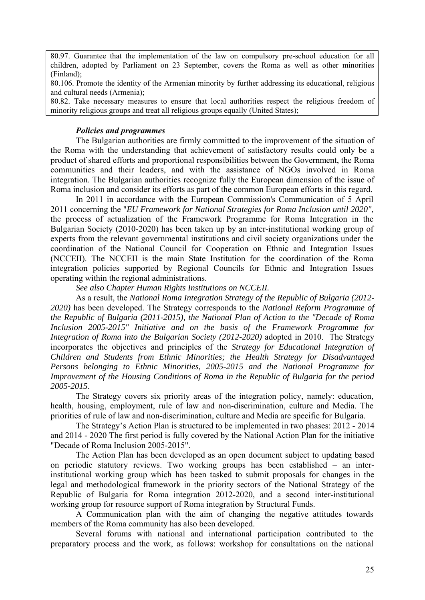80.97. Guarantee that the implementation of the law on compulsory pre-school education for all children, adopted by Parliament on 23 September, covers the Roma as well as other minorities (Finland);

80.106. Promote the identity of the Armenian minority by further addressing its educational, religious and cultural needs (Armenia);

80.82. Take necessary measures to ensure that local authorities respect the religious freedom of minority religious groups and treat all religious groups equally (United States);

## *Policies and programmes*

The Bulgarian authorities are firmly committed to the improvement of the situation of the Roma with the understanding that achievement of satisfactory results could only be a product of shared efforts and proportional responsibilities between the Government, the Roma communities and their leaders, and with the assistance of NGOs involved in Roma integration. The Bulgarian authorities recognize fully the European dimension of the issue of Roma inclusion and consider its efforts as part of the common European efforts in this regard.

In 2011 in accordance with the European Commission's Communication of 5 April 2011 concerning the "*EU Framework for National Strategies for Roma Inclusion until 2020"*, the process of actualization of the Framework Programme for Roma Integration in the Bulgarian Society (2010-2020) has been taken up by an inter-institutional working group of experts from the relevant governmental institutions and civil society organizations under the coordination of the National Council for Cooperation on Ethnic and Integration Issues (NCCEII). The NCCEII is the main State Institution for the coordination of the Roma integration policies supported by Regional Councils for Ethnic and Integration Issues operating within the regional administrations.

*See also Chapter Human Rights Institutions on NCCEII.*

As a result, the *National Roma Integration Strategy of the Republic of Bulgaria (2012- 2020)* has been developed. The Strategy corresponds to the *National Reform Programme of the Republic of Bulgaria (2011-2015), the National Plan of Action to the "Decade of Roma Inclusion 2005-2015" Initiative and on the basis of the Framework Programme for Integration of Roma into the Bulgarian Society (2012-2020)* adopted in 2010. The Strategy incorporates the objectives and principles of the *Strategy for Educational Integration of Children and Students from Ethnic Minorities; the Health Strategy for Disadvantaged Persons belonging to Ethnic Minorities, 2005-2015 and the National Programme for Improvement of the Housing Conditions of Roma in the Republic of Bulgaria for the period 2005-2015*.

The Strategy covers six priority areas of the integration policy, namely: education, health, housing, employment, rule of law and non-discrimination, culture and Media. The priorities of rule of law and non-discrimination, culture and Media are specific for Bulgaria.

The Strategy's Action Plan is structured to be implemented in two phases: 2012 - 2014 and 2014 - 2020 The first period is fully covered by the National Action Plan for the initiative "Decade of Roma Inclusion 2005-2015".

The Action Plan has been developed as an open document subject to updating based on periodic statutory reviews. Two working groups has been established – an interinstitutional working group which has been tasked to submit proposals for changes in the legal and methodological framework in the priority sectors of the National Strategy of the Republic of Bulgaria for Roma integration 2012-2020, and a second inter-institutional working group for resource support of Roma integration by Structural Funds.

A Communication plan with the aim of changing the negative attitudes towards members of the Roma community has also been developed.

Several forums with national and international participation contributed to the preparatory process and the work, as follows: workshop for consultations on the national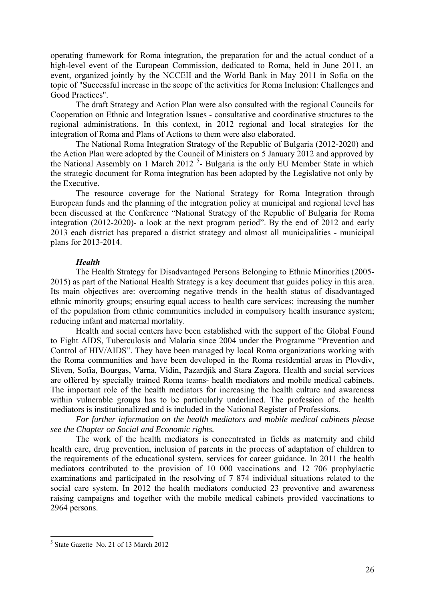operating framework for Roma integration, the preparation for and the actual conduct of a high-level event of the European Commission, dedicated to Roma, held in June 2011, an event, organized jointly by the NCCEII and the World Bank in May 2011 in Sofia on the topic of "Successful increase in the scope of the activities for Roma Inclusion: Challenges and Good Practices".

The draft Strategy and Action Plan were also consulted with the regional Councils for Cooperation on Ethnic and Integration Issues - consultative and coordinative structures to the regional administrations. In this context, in 2012 regional and local strategies for the integration of Roma and Plans of Actions to them were also elaborated.

The National Roma Integration Strategy of the Republic of Bulgaria (2012-2020) and the Action Plan were adopted by the Council of Ministers on 5 January 2012 and approved by the National Assembly on 1 March 2012<sup>[5](#page-27-0)</sup>- Bulgaria is the only EU Member State in which the strategic document for Roma integration has been adopted by the Legislative not only by the Executive.

The resource coverage for the National Strategy for Roma Integration through European funds and the planning of the integration policy at municipal and regional level has been discussed at the Conference "National Strategy of the Republic of Bulgaria for Roma integration (2012-2020)- a look at the next program period". By the end of 2012 and early 2013 each district has prepared a district strategy and almost all municipalities - municipal plans for 2013-2014.

#### *Health*

The Health Strategy for Disadvantaged Persons Belonging to Ethnic Minorities (2005- 2015) as part of the National Health Strategy is a key document that guides policy in this area. Its main objectives are: overcoming negative trends in the health status of disadvantaged ethnic minority groups; ensuring equal access to health care services; increasing the number of the population from ethnic communities included in compulsory health insurance system; reducing infant and maternal mortality.

Health and social centers have been established with the support of the Global Found to Fight AIDS, Tuberculosis and Malaria since 2004 under the Programme "Prevention and Control of HIV/AIDS". They have been managed by local Roma organizations working with the Roma communities and have been developed in the Roma residential areas in Plovdiv, Sliven, Sofia, Bourgas, Varna, Vidin, Pazardjik and Stara Zagora. Health and social services are offered by specially trained Roma teams- health mediators and mobile medical cabinets. The important role of the health mediators for increasing the health culture and awareness within vulnerable groups has to be particularly underlined. The profession of the health mediators is institutionalized and is included in the National Register of Professions.

*For further information on the health mediators and mobile medical cabinets please see the Chapter on Social and Economic rights.* 

The work of the health mediators is concentrated in fields as maternity and child health care, drug prevention, inclusion of parents in the process of adaptation of children to the requirements of the educational system, services for career guidance. In 2011 the health mediators contributed to the provision of 10 000 vaccinations and 12 706 prophylactic examinations and participated in the resolving of 7 874 individual situations related to the social care system. In 2012 the health mediators conducted 23 preventive and awareness raising campaigns and together with the mobile medical cabinets provided vaccinations to 2964 persons.

<u>.</u>

<span id="page-27-0"></span><sup>5</sup> State Gazette No. 21 of 13 March 2012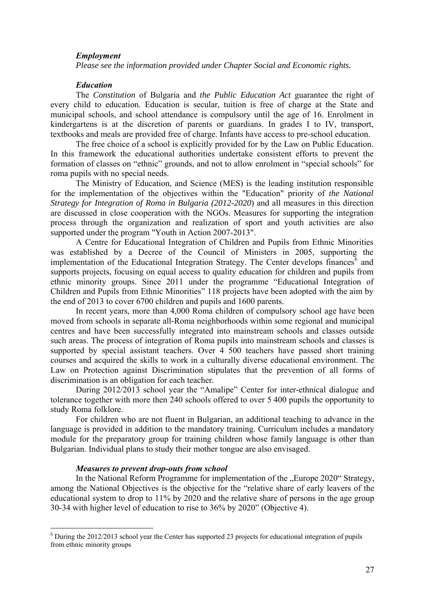#### *Employment*

*Please see the information provided under Chapter Social and Economic rights.* 

#### *Еducation*

The *Constitution* of Bulgaria and *the Public Education Act* guarantee the right of every child to education. Education is secular, tuition is free of charge at the State and municipal schools, and school attendance is compulsory until the age of 16. Enrolment in kindergartens is at the discretion of parents or guardians. In grades I to IV, transport, textbooks and meals are provided free of charge. Infants have access to pre-school education.

The free choice of a school is explicitly provided for by the Law on Public Education. In this framework the educational authorities undertake consistent efforts to prevent the formation of classes on "ethnic" grounds, and not to allow enrolment in "special schools" for roma pupils with no special needs.

The Ministry of Education, and Science (MES) is the leading institution responsible for the implementation of the objectives within the "Education" priority of *the National Strategy for Integration of Roma in Bulgaria (2012-2020*) and all measures in this direction are discussed in close cooperation with the NGOs. Measures for supporting the integration process through the organization and realization of sport and youth activities are also supported under the program "Youth in Action 2007-2013".

A Centre for Educational Integration of Children and Pupils from Ethnic Minorities was established by a Decree of the Council of Ministers in 2005, supporting the implementation of the Educational Integration Strategy. The Center develops finances<sup> $6$ </sup> and supports projects, focusing on equal access to quality education for children and pupils from ethnic minority groups. Since 2011 under the programme "Educational Integration of Children and Pupils from Ethnic Minorities" 118 projects have been adopted with the aim by the end of 2013 to cover 6700 children and pupils and 1600 parents.

In recent years, more than 4,000 Roma children of compulsory school age have been moved from schools in separate all-Roma neighborhoods within some regional and municipal centres and have been successfully integrated into mainstream schools and classes outside such areas. The process of integration of Roma pupils into mainstream schools and classes is supported by special assistant teachers. Over 4 500 teachers have passed short training courses and acquired the skills to work in a culturally diverse educational environment. The Law on Protection against Discrimination stipulates that the prevention of all forms of discrimination is an obligation for each teacher.

During 2012/2013 school year the "Amalipe" Center for inter-ethnical dialogue and tolerance together with more then 240 schools offered to over 5 400 pupils the opportunity to study Roma folklore.

For children who are not fluent in Bulgarian, an additional teaching to advance in the language is provided in addition to the mandatory training. Curriculum includes a mandatory module for the preparatory group for training children whose family language is other than Bulgarian. Individual plans to study their mother tongue are also envisaged.

#### *Measures to prevent drop-outs from school*

1

In the National Reform Programme for implementation of the "Europe 2020" Strategy, among the National Objectives is the objective for the "relative share of early leavers of the educational system to drop to 11% by 2020 and the relative share of persons in the age group 30-34 with higher level of education to rise to 36% by 2020" (Objective 4).

<span id="page-28-0"></span><sup>&</sup>lt;sup>6</sup> During the 2012/2013 school year the Center has supported 23 projects for educational integration of pupils from ethnic minority groups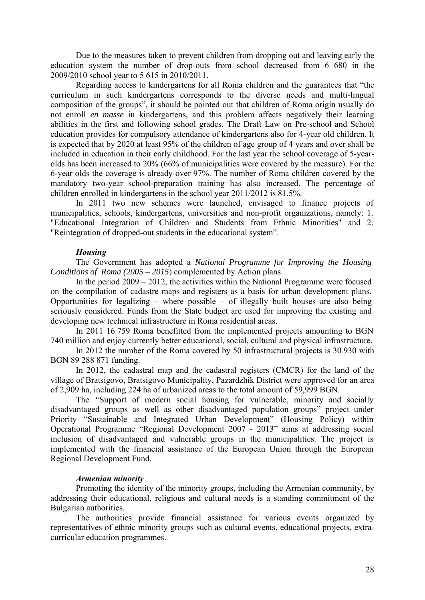Due to the measures taken to prevent children from dropping out and leaving early the education system the number of drop-outs from school decreased from 6 680 in the 2009/2010 school year to 5 615 in 2010/2011.

Regarding access to kindergartens for all Roma children and the guarantees that "the curriculum in such kindergartens corresponds to the diverse needs and multi-lingual composition of the groups", it should be pointed out that children of Roma origin usually do not enroll *en masse* in kindergartens, and this problem affects negatively their learning abilities in the first and following school grades. The Draft Law on Pre-school and School education provides for compulsory attendance of kindergartens also for 4-year old children. It is expected that by 2020 at least 95% of the children of age group of 4 years and over shall be included in education in their early childhood. For the last year the school coverage of 5-yearolds has been increased to 20% (66% of municipalities were covered by the measure). For the 6-year olds the coverage is already over 97%. The number of Roma children covered by the mandatory two-year school-preparation training has also increased. The percentage of children enrolled in kindergartens in the school year 2011/2012 is 81.5%.

In 2011 two new schemes were launched, envisaged to finance projects of municipalities, schools, kindergartens, universities and non-profit organizations, namely: 1. "Educational Integration of Children and Students from Ethnic Minorities" and 2. "Reintegration of dropped-out students in the educational system".

#### *Housing*

The Government has adopted a *National Programme for Improving the Housing Conditions of Roma (2005 – 2015*) complemented by Action plans.

In the period 2009 – 2012, the activities within the National Programme were focused on the compilation of cadastre maps and registers as a basis for urban development plans. Opportunities for legalizing – where possible – of illegally built houses are also being seriously considered. Funds from the State budget are used for improving the existing and developing new technical infrastructure in Roma residential areas.

In 2011 16 759 Roma benefitted from the implemented projects amounting to BGN 740 million and enjoy currently better educational, social, cultural and physical infrastructure.

In 2012 the number of the Roma covered by 50 infrastructural projects is 30 930 with BGN 89 288 871 funding.

In 2012, the cadastral map and the cadastral registers (CMCR) for the land of the village of Bratsigovo, Bratsigovo Municipality, Pazardzhik District were approved for an area of 2,909 ha, including 224 ha of urbanized areas to the total amount of 59,999 BGN.

The *"*Support of modern social housing for vulnerable, minority and socially disadvantaged groups as well as other disadvantaged population groups" project under Priority "Sustainable and Integrated Urban Development" (Housing Policy) within Operational Programme "Regional Development 2007 - 2013" aims at addressing social inclusion of disadvantaged and vulnerable groups in the municipalities. The project is implemented with the financial assistance of the European Union through the European Regional Development Fund.

#### *Armenian minority*

Promoting the identity of the minority groups, including the Armenian community, by addressing their educational, religious and cultural needs is a standing commitment of the Bulgarian authorities.

The authorities provide financial assistance for various events organized by representatives of ethnic minority groups such as cultural events, educational projects, extracurricular education programmes.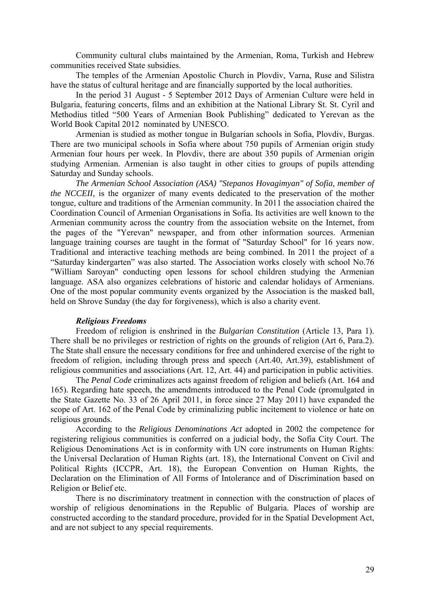Community cultural clubs maintained by the Armenian, Roma, Turkish and Hebrew communities received State subsidies.

The temples of the Armenian Apostolic Church in Plovdiv, Varna, Ruse and Silistra have the status of cultural heritage and are financially supported by the local authorities.

In the period 31 August - 5 September 2012 Days of Armenian Culture were held in Bulgaria, featuring concerts, films and an exhibition at the National Library St. St. Cyril and Methodius titled "500 Years of Armenian Book Publishing" dedicated to Yerevan as the World Book Capital 2012 nominated by UNESCO.

Armenian is studied as mother tongue in Bulgarian schools in Sofia, Plovdiv, Burgas. There are two municipal schools in Sofia where about 750 pupils of Armenian origin study Armenian four hours per week. In Plovdiv, there are about 350 pupils of Armenian origin studying Armenian. Armenian is also taught in other cities to groups of pupils attending Saturday and Sunday schools.

*The Armenian School Association (ASA) "Stepanos Hovagimyan" of Sofia, member of the NCCEII*, is the organizer of many events dedicated to the preservation of the mother tongue, culture and traditions of the Armenian community. In 2011 the association chaired the Coordination Council of Armenian Organisations in Sofia. Its activities are well known to the Armenian community across the country from the association website on the Internet, from the pages of the "Yerevan" newspaper, and from other information sources. Armenian language training courses are taught in the format of "Saturday School" for 16 years now. Traditional and interactive teaching methods are being combined. In 2011 the project of a "Saturday kindergarten" was also started. The Association works closely with school No.76 "William Saroyan" conducting open lessons for school children studying the Armenian language. ASA also organizes celebrations of historic and calendar holidays of Armenians. One of the most popular community events organized by the Association is the masked ball, held on Shrove Sunday (the day for forgiveness), which is also a charity event.

#### *Religious Freedoms*

Freedom of religion is enshrined in the *Bulgarian Constitution* (Article 13, Para 1). There shall be no privileges or restriction of rights on the grounds of religion (Art 6, Para.2). The State shall ensure the necessary conditions for free and unhindered exercise of the right to freedom of religion, including through press and speech (Art.40, Art.39), establishment of religious communities and associations (Art. 12, Art. 44) and participation in public activities.

The *Penal Code* criminalizes acts against freedom of religion and beliefs (Art. 164 and 165). Regarding hate speech, the amendments introduced to the Penal Code (promulgated in the State Gazette No. 33 of 26 April 2011, in force since 27 May 2011) have expanded the scope of Art. 162 of the Penal Code by criminalizing public incitement to violence or hate on religious grounds.

According to the *Religious Denominations Act* adopted in 2002 the competence for registering religious communities is conferred on a judicial body, the Sofia City Court. The Religious Denominations Act is in conformity with UN core instruments on Human Rights: the Universal Declaration of Human Rights (art. 18), the International Convent on Civil and Political Rights (ICCPR, Art. 18), the European Convention on Human Rights, the Declaration on the Elimination of All Forms of Intolerance and of Discrimination based on Religion or Belief etc.

There is no discriminatory treatment in connection with the construction of places of worship of religious denominations in the Republic of Bulgaria. Places of worship are constructed according to the standard procedure, provided for in the Spatial Development Act, and are not subject to any special requirements.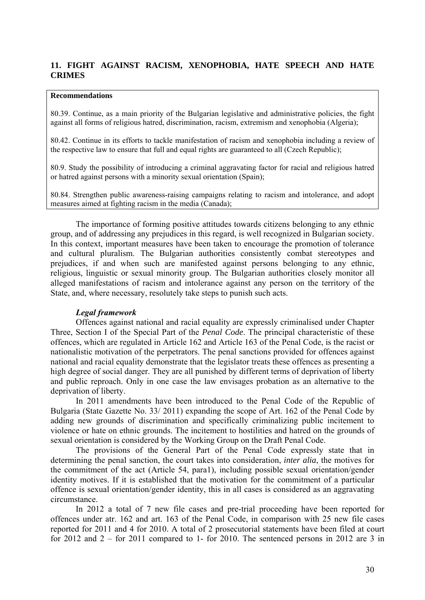## **11. FIGHT AGAINST RACISM, XENOPHOBIA, HATE SPEECH AND HATE CRIMES**

#### **Recommendations**

80.39. Continue, as a main priority of the Bulgarian legislative and administrative policies, the fight against all forms of religious hatred, discrimination, racism, extremism and xenophobia (Algeria);

80.42. Continue in its efforts to tackle manifestation of racism and xenophobia including a review of the respective law to ensure that full and equal rights are guaranteed to all (Czech Republic);

80.9. Study the possibility of introducing a criminal aggravating factor for racial and religious hatred or hatred against persons with a minority sexual orientation (Spain);

80.84. Strengthen public awareness-raising campaigns relating to racism and intolerance, and adopt measures aimed at fighting racism in the media (Canada);

The importance of forming positive attitudes towards citizens belonging to any ethnic group, and of addressing any prejudices in this regard, is well recognized in Bulgarian society. In this context, important measures have been taken to encourage the promotion of tolerance and cultural pluralism. The Bulgarian authorities consistently combat stereotypes and prejudices, if and when such are manifested against persons belonging to any ethnic, religious, linguistic or sexual minority group. The Bulgarian authorities closely monitor all alleged manifestations of racism and intolerance against any person on the territory of the State, and, where necessary, resolutely take steps to punish such acts.

#### *Legal framework*

Offences against national and racial equality are expressly criminalised under Chapter Three, Section I of the Special Part of the *Penal Code*. The principal characteristic of these offences, which are regulated in Article 162 and Article 163 of the Penal Code, is the racist or nationalistic motivation of the perpetrators. The penal sanctions provided for offences against national and racial equality demonstrate that the legislator treats these offences as presenting a high degree of social danger. They are all punished by different terms of deprivation of liberty and public reproach. Only in one case the law envisages probation as an alternative to the deprivation of liberty.

In 2011 amendments have been introduced to the Penal Code of the Republic of Bulgaria (State Gazette No. 33/ 2011) expanding the scope of Art. 162 of the Penal Code by adding new grounds of discrimination and specifically criminalizing public incitement to violence or hate on ethnic grounds. The incitement to hostilities and hatred on the grounds of sexual orientation is considered by the Working Group on the Draft Penal Code.

The provisions of the General Part of the Penal Code expressly state that in determining the penal sanction, the court takes into consideration, *inter alia*, the motives for the commitment of the act (Article 54, para1), including possible sexual orientation/gender identity motives. If it is established that the motivation for the commitment of a particular offence is sexual orientation/gender identity, this in all cases is considered as an aggravating circumstance.

In 2012 a total of 7 new file cases and pre-trial proceeding have been reported for offences under atr. 162 and art. 163 of the Penal Code, in comparison with 25 new file cases reported for 2011 and 4 for 2010. A total of 2 prosecutorial statements have been filed at court for 2012 and  $2 -$  for 2011 compared to 1- for 2010. The sentenced persons in 2012 are 3 in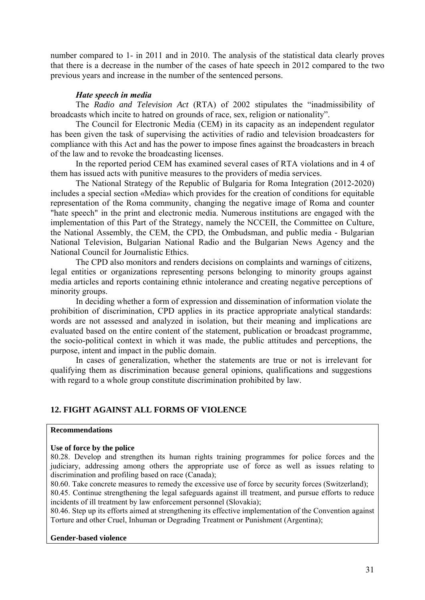number compared to 1- in 2011 and in 2010. The analysis of the statistical data clearly proves that there is a decrease in the number of the cases of hate speech in 2012 compared to the two previous years and increase in the number of the sentenced persons.

## *Hate speech in media*

The *Radio and Television Act* (RTA) of 2002 stipulates the "inadmissibility of broadcasts which incite to hatred on grounds of race, sex, religion or nationality".

The Council for Electronic Media (CEM) in its capacity as an independent regulator has been given the task of supervising the activities of radio and television broadcasters for compliance with this Act and has the power to impose fines against the broadcasters in breach of the law and to revoke the broadcasting licenses.

In the reported period CEM has examined several cases of RTA violations and in 4 of them has issued acts with punitive measures to the providers of media services.

The National Strategy of the Republic of Bulgaria for Roma Integration (2012-2020) includes a special section «Media» which provides for the creation of conditions for equitable representation of the Roma community, changing the negative image of Roma and counter "hate speech" in the print and electronic media. Numerous institutions are engaged with the implementation of this Part of the Strategy, namely the NCCEII, the Committee on Culture, the National Assembly, the CEM, the CPD, the Ombudsman, and public media - Bulgarian National Television, Bulgarian National Radio and the Bulgarian News Agency and the National Council for Journalistic Ethics.

The CPD also monitors and renders decisions on complaints and warnings of citizens, legal entities or organizations representing persons belonging to minority groups against media articles and reports containing ethnic intolerance and creating negative perceptions of minority groups.

In deciding whether a form of expression and dissemination of information violate the prohibition of discrimination, CPD applies in its practice appropriate analytical standards: words are not assessed and analyzed in isolation, but their meaning and implications are evaluated based on the entire content of the statement, publication or broadcast programme, the socio-political context in which it was made, the public attitudes and perceptions, the purpose, intent and impact in the public domain.

In cases of generalization, whether the statements are true or not is irrelevant for qualifying them as discrimination because general opinions, qualifications and suggestions with regard to a whole group constitute discrimination prohibited by law.

## **12. FIGHT AGAINST ALL FORMS OF VIOLENCE**

#### **Recommendations**

#### **Use of force by the police**

80.28. Develop and strengthen its human rights training programmes for police forces and the judiciary, addressing among others the appropriate use of force as well as issues relating to discrimination and profiling based on race (Canada);

80.60. Take concrete measures to remedy the excessive use of force by security forces (Switzerland); 80.45. Continue strengthening the legal safeguards against ill treatment, and pursue efforts to reduce incidents of ill treatment by law enforcement personnel (Slovakia);

80.46. Step up its efforts aimed at strengthening its effective implementation of the Convention against Torture and other Cruel, Inhuman or Degrading Treatment or Punishment (Argentina);

#### **Gender-based violence**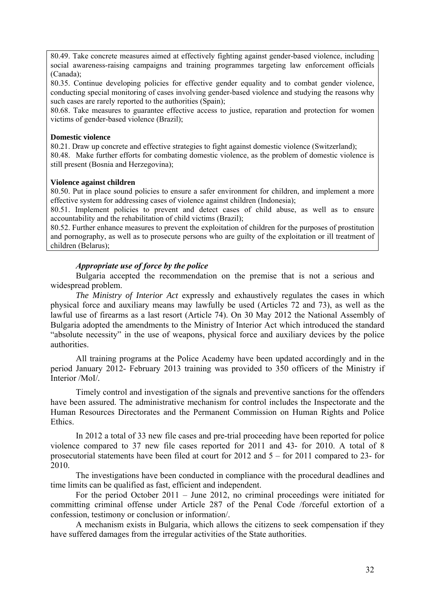80.49. Take concrete measures aimed at effectively fighting against gender-based violence, including social awareness-raising campaigns and training programmes targeting law enforcement officials (Canada);

80.35. Continue developing policies for effective gender equality and to combat gender violence, conducting special monitoring of cases involving gender-based violence and studying the reasons why such cases are rarely reported to the authorities (Spain);

80.68. Take measures to guarantee effective access to justice, reparation and protection for women victims of gender-based violence (Brazil);

#### **Domestic violence**

80.21. Draw up concrete and effective strategies to fight against domestic violence (Switzerland); 80.48. Make further efforts for combating domestic violence, as the problem of domestic violence is still present (Bosnia and Herzegovina);

#### **Violence against children**

80.50. Put in place sound policies to ensure a safer environment for children, and implement a more effective system for addressing cases of violence against children (Indonesia);

80.51. Implement policies to prevent and detect cases of child abuse, as well as to ensure accountability and the rehabilitation of child victims (Brazil);

80.52. Further enhance measures to prevent the exploitation of children for the purposes of prostitution and pornography, as well as to prosecute persons who are guilty of the exploitation or ill treatment of children (Belarus);

## *Appropriate use of force by the police*

Bulgaria accepted the recommendation on the premise that is not a serious and widespread problem.

*The Ministry of Interior Act* expressly and exhaustively regulates the cases in which physical force and auxiliary means may lawfully be used (Articles 72 and 73), as well as the lawful use of firearms as a last resort (Article 74). On 30 May 2012 the National Assembly of Bulgaria adopted the amendments to the Ministry of Interior Act which introduced the standard "absolute necessity" in the use of weapons, physical force and auxiliary devices by the police authorities.

All training programs at the Police Academy have been updated accordingly and in the period January 2012- February 2013 training was provided to 350 officers of the Ministry if Interior /MoI/*.* 

Timely control and investigation of the signals and preventive sanctions for the offenders have been assured. The administrative mechanism for control includes the Inspectorate and the Human Resources Directorates and the Permanent Commission on Human Rights and Police Ethics.

In 2012 a total of 33 new file cases and pre-trial proceeding have been reported for police violence compared to 37 new file cases reported for 2011 and 43- for 2010. A total of 8 prosecutorial statements have been filed at court for 2012 and 5 – for 2011 compared to 23- for 2010.

The investigations have been conducted in compliance with the procedural deadlines and time limits can be qualified as fast, efficient and independent.

For the period October 2011 – June 2012, no criminal proceedings were initiated for committing criminal offense under Article 287 of the Penal Code /forceful extortion of a confession, testimony or conclusion or information/.

A mechanism exists in Bulgaria, which allows the citizens to seek compensation if they have suffered damages from the irregular activities of the State authorities.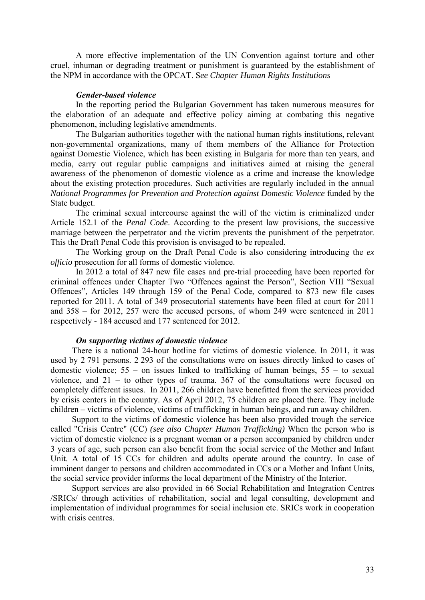A more effective implementation of the UN Convention against torture and other cruel, inhuman or degrading treatment or punishment is guaranteed by the establishment of the NPM in accordance with the OPCAT. S*ee Chapter Human Rights Institutions*

#### *Gender-based violence*

In the reporting period the Bulgarian Government has taken numerous measures for the elaboration of an adequate and effective policy aiming at combating this negative phenomenon, including legislative amendments.

The Bulgarian authorities together with the national human rights institutions, relevant non-governmental organizations, many of them members of the Alliance for Protection against Domestic Violence, which has been existing in Bulgaria for more than ten years, and media, carry out regular public campaigns and initiatives aimed at raising the general awareness of the phenomenon of domestic violence as a crime and increase the knowledge about the existing protection procedures. Such activities are regularly included in the annual *National Programmes for Prevention and Protection against Domestic Violence* funded by the State budget.

The criminal sexual intercourse against the will of the victim is criminalized under Article 152.1 of the *Penal Code*. According to the present law provisions, the successive marriage between the perpetrator and the victim prevents the punishment of the perpetrator. This the Draft Penal Code this provision is envisaged to be repealed.

The Working group on the Draft Penal Code is also considering introducing the *ex officio* prosecution for all forms of domestic violence.

In 2012 a total of 847 new file cases and pre-trial proceeding have been reported for criminal offences under Chapter Two "Offences against the Person", Section VIII "Sexual Offences", Articles 149 through 159 of the Penal Code, compared to 873 new file cases reported for 2011. A total of 349 prosecutorial statements have been filed at court for 2011 and 358 – for 2012, 257 were the accused persons, of whom 249 were sentenced in 2011 respectively - 184 accused and 177 sentenced for 2012.

## *On supporting victims of domestic violence*

There is a national 24-hour hotline for victims of domestic violence. In 2011, it was used by 2 791 persons. 2 293 of the consultations were on issues directly linked to cases of domestic violence;  $55 -$  on issues linked to trafficking of human beings,  $55 -$  to sexual violence, and 21 – to other types of trauma. 367 of the consultations were focused on completely different issues. In 2011, 266 children have benefitted from the services provided by crisis centers in the country. As of April 2012, 75 children are placed there. They include children – victims of violence, victims of trafficking in human beings, and run away children.

Support to the victims of domestic violence has been also provided trough the service called "Crisis Centre" (CC) *(see also Chapter Human Trafficking)* When the person who is victim of domestic violence is a pregnant woman or a person accompanied by children under 3 years of age, such person can also benefit from the social service of the Mother and Infant Unit. A total of 15 CCs for children and adults operate around the country. In case of imminent danger to persons and children accommodated in CCs or a Mother and Infant Units, the social service provider informs the local department of the Ministry of the Interior.

Support services are also provided in 66 Social Rehabilitation and Integration Centres /SRICs/ through activities of rehabilitation, social and legal consulting, development and implementation of individual programmes for social inclusion etc. SRICs work in cooperation with crisis centres.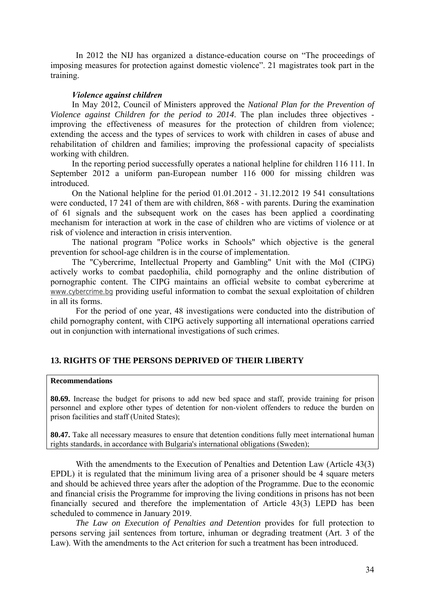In 2012 the NIJ has organized a distance-education course on "The proceedings of imposing measures for protection against domestic violence". 21 magistrates took part in the training.

## *Violence against children*

In May 2012, Council of Ministers approved the *National Plan for the Prevention of Violence against Children for the period to 2014*. The plan includes three objectives improving the effectiveness of measures for the protection of children from violence; extending the access and the types of services to work with children in cases of abuse and rehabilitation of children and families; improving the professional capacity of specialists working with children.

In the reporting period successfully operates a national helpline for children 116 111. In September 2012 a uniform pan-European number 116 000 for missing children was introduced.

On the National helpline for the period 01.01.2012 - 31.12.2012 19 541 consultations were conducted, 17 241 of them are with children, 868 - with parents. During the examination of 61 signals and the subsequent work on the cases has been applied a coordinating mechanism for interaction at work in the case of children who are victims of violence or at risk of violence and interaction in crisis intervention.

The national program "Police works in Schools" which objective is the general prevention for school-age children is in the course of implementation.

The "Cybercrime, Intellectual Property and Gambling" Unit with the MoI (CIPG) actively works to combat paedophilia, child pornography and the online distribution of pornographic content. The CIPG maintains an official website to combat cybercrime at [www.cybercrime.bg](http://www.cybercrime.bg/) providing useful information to combat the sexual exploitation of children in all its forms.

 For the period of one year, 48 investigations were conducted into the distribution of child pornography content, with CIPG actively supporting all international operations carried out in conjunction with international investigations of such crimes.

## **13. RIGHTS OF THE PERSONS DEPRIVED OF THEIR LIBERTY**

#### **Recommendations**

**80.69.** Increase the budget for prisons to add new bed space and staff, provide training for prison personnel and explore other types of detention for non-violent offenders to reduce the burden on prison facilities and staff (United States);

**80.47.** Take all necessary measures to ensure that detention conditions fully meet international human rights standards, in accordance with Bulgaria's international obligations (Sweden);

With the amendments to the Execution of Penalties and Detention Law (Article 43(3) EPDL) it is regulated that the minimum living area of a prisoner should be 4 square meters and should be achieved three years after the adoption of the Programme. Due to the economic and financial crisis the Programme for improving the living conditions in prisons has not been financially secured and therefore the implementation of Article 43(3) LEPD has been scheduled to commence in January 2019.

*The Law on Execution of Penalties and Detention* provides for full protection to persons serving jail sentences from torture, inhuman or degrading treatment (Art. 3 of the Law). With the amendments to the Act criterion for such a treatment has been introduced.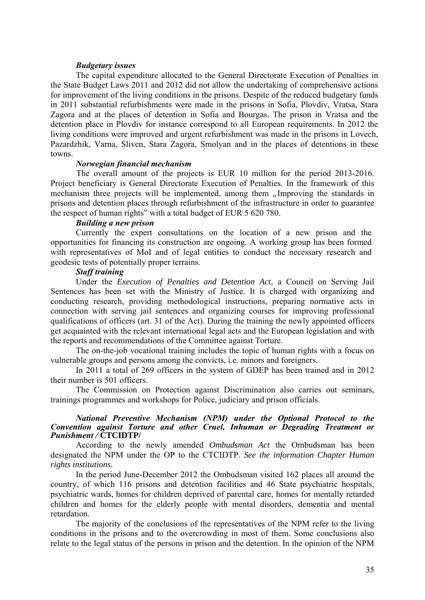### *Budgetary issues*

The capital expenditure allocated to the General Directorate Execution of Penalties in the State Budget Laws 2011 and 2012 did not allow the undertaking of comprehensive actions for improvement of the living conditions in the prisons. Despite of the reduced budgetary funds in 2011 substantial refurbishments were made in the prisons in Sofia, Plovdiv, Vratsa, Stara Zagora and at the places of detention in Sofia and Bourgas. The prison in Vratsa and the detention place in Plovdiv for instance correspond to all European requirements. In 2012 the living conditions were improved and urgent refurbishment was made in the prisons in Lovech, Pazardzhik, Varna, Sliven, Stara Zagora, Smolyan and in the places of detentions in these towns.

#### *Norwegian financial mechanism*

The overall amount of the projects is EUR 10 million for the period 2013-2016. Project beneficiary is General Directorate Execution of Penalties. In the framework of this mechanism three projects will be implemented, among them *"*Improving the standards in prisons and detention places through refurbishment of the infrastructure in order to guarantee the respect of human rights" with a total budget of EUR 5 620 780.

## *Building a new prison*

Currently the expert consultations on the location of a new prison and the opportunities for financing its construction are ongoing. A working group has been formed with representatives of MoI and of legal entities to conduct the necessary research and geodesic tests of potentially proper terrains.

#### *Staff training*

Under the *Execution of Penalties and Detention Act*, a Council on Serving Jail Sentences has been set with the Ministry of Justice. It is charged with organizing and conducting research, providing methodological instructions, preparing normative acts in connection with serving jail sentences and organizing courses for improving professional qualifications of officers (art. 31 of the Act). During the training the newly appointed officers get acquainted with the relevant international legal acts and the European legislation and with the reports and recommendations of the Committee against Torture.

The on-the-job vocational training includes the topic of human rights with a focus on vulnerable groups and persons among the convicts, i.e. minors and foreigners.

In 2011 a total of 269 officers in the system of GDEP has been trained and in 2012 their number is 501 officers.

The Commission on Protection against Discrimination also carries out seminars, trainings programmes and workshops for Police, judiciary and prison officials.

#### *National Preventive Mechanism (NPM) under the Optional Protocol to the Convention against Torture and other Cruel, Inhuman or Degrading Treatment or Punishment /* **CTCIDTP/**

According to the newly amended *Ombudsman Act* the Ombudsman has been designated the NPM under the OP to the CTCIDTP. *See the information Chapter Human rights institutions.* 

In the period June-December 2012 the Ombudsman visited 162 places all around the country, of which 116 prisons and detention facilities and 46 State psychiatric hospitals, psychiatric wards, homes for children deprived of parental care, homes for mentally retarded children and homes for the elderly people with mental disorders, dementia and mental retardation.

The majority of the conclusions of the representatives of the NPM refer to the living conditions in the prisons and to the overcrowding in most of them. Some conclusions also relate to the legal status of the persons in prison and the detention. In the opinion of the NPM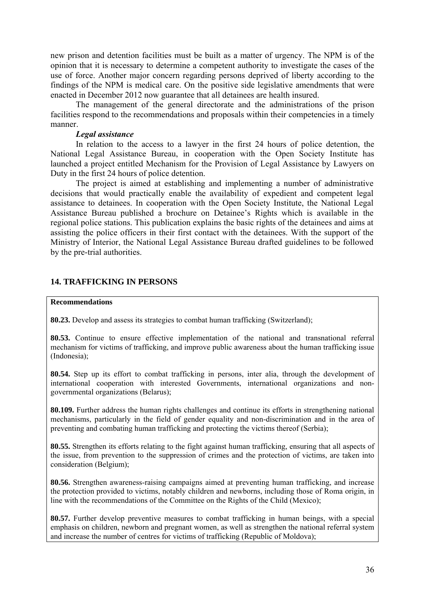new prison and detention facilities must be built as a matter of urgency. The NPM is of the opinion that it is necessary to determine a competent authority to investigate the cases of the use of force. Another major concern regarding persons deprived of liberty according to the findings of the NPM is medical care. On the positive side legislative amendments that were enacted in December 2012 now guarantee that all detainees are health insured.

The management of the general directorate and the administrations of the prison facilities respond to the recommendations and proposals within their competencies in a timely manner.

## *Legal assistance*

In relation to the access to a lawyer in the first 24 hours of police detention, the National Legal Assistance Bureau, in cooperation with the Open Society Institute has launched a project entitled Mechanism for the Provision of Legal Assistance by Lawyers on Duty in the first 24 hours of police detention.

The project is aimed at establishing and implementing a number of administrative decisions that would practically enable the availability of expedient and competent legal assistance to detainees. In cooperation with the Open Society Institute, the National Legal Assistance Bureau published a brochure on Detainee's Rights which is available in the regional police stations. This publication explains the basic rights of the detainees and aims at assisting the police officers in their first contact with the detainees. With the support of the Ministry of Interior, the National Legal Assistance Bureau drafted guidelines to be followed by the pre-trial authorities.

## **14. TRAFFICKING IN PERSONS**

#### **Recommendations**

**80.23.** Develop and assess its strategies to combat human trafficking (Switzerland);

**80.53.** Continue to ensure effective implementation of the national and transnational referral mechanism for victims of trafficking, and improve public awareness about the human trafficking issue (Indonesia);

**80.54.** Step up its effort to combat trafficking in persons, inter alia, through the development of international cooperation with interested Governments, international organizations and nongovernmental organizations (Belarus);

**80.109.** Further address the human rights challenges and continue its efforts in strengthening national mechanisms, particularly in the field of gender equality and non-discrimination and in the area of preventing and combating human trafficking and protecting the victims thereof (Serbia);

**80.55.** Strengthen its efforts relating to the fight against human trafficking, ensuring that all aspects of the issue, from prevention to the suppression of crimes and the protection of victims, are taken into consideration (Belgium);

**80.56.** Strengthen awareness-raising campaigns aimed at preventing human trafficking, and increase the protection provided to victims, notably children and newborns, including those of Roma origin, in line with the recommendations of the Committee on the Rights of the Child (Mexico);

**80.57.** Further develop preventive measures to combat trafficking in human beings, with a special emphasis on children, newborn and pregnant women, as well as strengthen the national referral system and increase the number of centres for victims of trafficking (Republic of Moldova);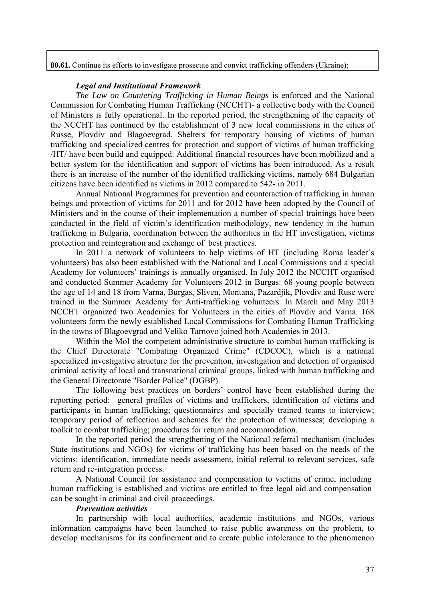**80.61.** Continue its efforts to investigate prosecute and convict trafficking offenders (Ukraine);

#### *Legal and Institutional Framework*

*The Law on Countering Trafficking in Human Beings* is enforced and the National Commission for Combating Human Trafficking (NCCHT)- a collective body with the Council of Ministers is fully operational. In the reported period, the strengthening of the capacity of the NCCHT has continued by the establishment of 3 new local commissions in the cities of Russe, Plovdiv and Blagoevgrad. Shelters for temporary housing of victims of human trafficking and specialized centres for protection and support of victims of human trafficking /HT/ have been build and equipped. Additional financial resources have been mobilized and a better system for the identification and support of victims has been introduced. As a result there is an increase of the number of the identified trafficking victims, namely 684 Bulgarian citizens have been identified as victims in 2012 compared to 542- in 2011.

Annual National Programmes for prevention and counteraction of trafficking in human beings and protection of victims for 2011 and for 2012 have been adopted by the Council of Ministers and in the course of their implementation a number of special trainings have been conducted in the field of victim's identification methodology, new tendency in the human trafficking in Bulgaria, coordination between the authorities in the HT investigation, victims protection and reintegration and exchange of best practices.

In 2011 a network of volunteers to help victims of HT (including Roma leader's volunteers) has also been established with the National and Local Commissions and a special Academy for volunteers' trainings is annually organised. In July 2012 the NCCHT organised and conducted Summer Academy for Volunteers 2012 in Burgas: 68 young people between the age of 14 and 18 from Varna, Burgas, Sliven, Montana, Pazardjik, Plovdiv and Ruse were trained in the Summer Academy for Anti-trafficking volunteers. In March and May 2013 NCCHT organized two Academies for Volunteers in the cities of Plovdiv and Varna. 168 volunteers form the newly established Local Commissions for Combating Human Trafficking in the towns of Blagoevgrad and Veliko Tarnovo joined both Academies in 2013.

Within the MoI the competent administrative structure to combat human trafficking is the Chief Directorate "Combating Organized Crime" (CDCOC), which is a national specialized investigative structure for the prevention, investigation and detection of organised criminal activity of local and transnational criminal groups, linked with human trafficking and the General Directorate "Border Police" (DGBP).

The following best practices on borders' control have been established during the reporting period: general profiles of victims and traffickers, identification of victims and participants in human trafficking; questionnaires and specially trained teams to interview; temporary period of reflection and schemes for the protection of witnesses; developing a toolkit to combat trafficking; procedures for return and accommodation.

In the reported period the strengthening of the National referral mechanism (includes State institutions and NGOs) for victims of trafficking has been based on the needs of the victims: identification, immediate needs assessment, initial referral to relevant services, safe return and re-integration process.

A National Council for assistance and compensation to victims of crime, including human trafficking is established and victims are entitled to free legal aid and compensation can be sought in criminal and civil proceedings.

#### *Prevention activities*

In partnership with local authorities, academic institutions and NGOs, various information campaigns have been launched to raise public awareness on the problem, to develop mechanisms for its confinement and to create public intolerance to the phenomenon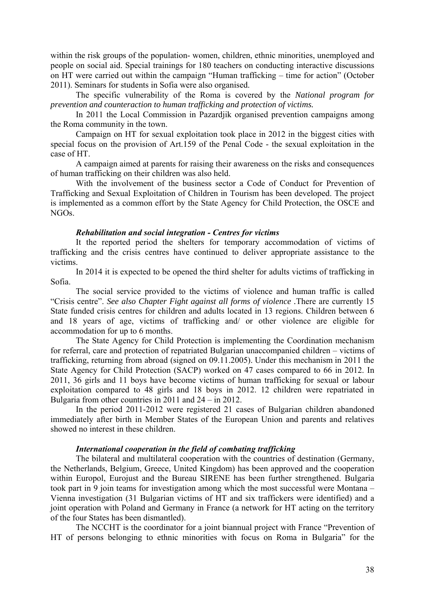within the risk groups of the population-women, children, ethnic minorities, unemployed and people on social aid. Special trainings for 180 teachers on conducting interactive discussions on HT were carried out within the campaign "Human trafficking – time for action" (October 2011). Seminars for students in Sofia were also organised.

The specific vulnerability of the Roma is covered by the *National program for prevention and counteraction to human trafficking and protection of victims.* 

In 2011 the Local Commission in Pazardjik organised prevention campaigns among the Roma community in the town.

Campaign on HT for sexual exploitation took place in 2012 in the biggest cities with special focus on the provision of Art.159 of the Penal Code - the sexual exploitation in the case of HT.

A campaign aimed at parents for raising their awareness on the risks and consequences of human trafficking on their children was also held.

With the involvement of the business sector a Code of Conduct for Prevention of Trafficking and Sexual Exploitation of Children in Tourism has been developed. The project is implemented as a common effort by the State Agency for Child Protection, the OSCE and NGOs.

## *Rehabilitation and social integration - Centres for victims*

It the reported period the shelters for temporary accommodation of victims of trafficking and the crisis centres have continued to deliver appropriate assistance to the victims.

In 2014 it is expected to be opened the third shelter for adults victims of trafficking in Sofia.

The social service provided to the victims of violence and human traffic is called "Crisis centre". *See also Chapter Fight against all forms of violence .*There are currently 15 State funded crisis centres for children and adults located in 13 regions. Children between 6 and 18 years of age, victims of trafficking and/ or other violence are eligible for accommodation for up to 6 months.

The State Agency for Child Protection is implementing the Coordination mechanism for referral, care and protection of repatriated Bulgarian unaccompanied children – victims of trafficking, returning from abroad (signed on 09.11.2005). Under this mechanism in 2011 the State Agency for Child Protection (SACP) worked on 47 cases compared to 66 in 2012. In 2011, 36 girls and 11 boys have become victims of human trafficking for sexual or labour exploitation compared to 48 girls and 18 boys in 2012. 12 children were repatriated in Bulgaria from other countries in 2011 and 24 – in 2012.

In the period 2011-2012 were registered 21 cases of Bulgarian children abandoned immediately after birth in Member States of the European Union and parents and relatives showed no interest in these children.

## *International cooperation in the field of combating trafficking*

The bilateral and multilateral cooperation with the countries of destination (Germany, the Netherlands, Belgium, Greece, United Kingdom) has been approved and the cooperation within Europol, Eurojust and the Bureau SIRENE has been further strengthened. Bulgaria took part in 9 join teams for investigation among which the most successful were Montana – Vienna investigation (31 Bulgarian victims of HT and six traffickers were identified) and a joint operation with Poland and Germany in France (a network for HT acting on the territory of the four States has been dismantled).

The NCCHT is the coordinator for a joint biannual project with France "Prevention of HT of persons belonging to ethnic minorities with focus on Roma in Bulgaria" for the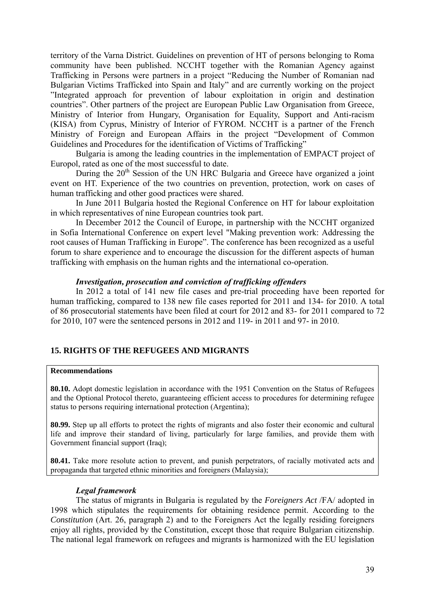territory of the Varna District. Guidelines on prevention of HT of persons belonging to Roma community have been published. NCCHT together with the Romanian Agency against Trafficking in Persons were partners in a project "Reducing the Number of Romanian nad Bulgarian Victims Trafficked into Spain and Italy" and are currently working on the project "Integrated approach for prevention of labour exploitation in origin and destination countries". Other partners of the project are European Public Law Organisation from Greece, Ministry of Interior from Hungary, Organisation for Equality, Support and Anti-racism (KISA) from Cyprus, Ministry of Interior of FYROM. NCCHT is a partner of the French Ministry of Foreign and European Affairs in the project "Development of Common Guidelines and Procedures for the identification of Victims of Trafficking"

Bulgaria is among the leading countries in the implementation of EMPACT project of Europol, rated as one of the most successful to date.

During the  $20<sup>th</sup>$  Session of the UN HRC Bulgaria and Greece have organized a joint event on HT. Experience of the two countries on prevention, protection, work on cases of human trafficking and other good practices were shared.

In June 2011 Bulgaria hosted the Regional Conference on HT for labour exploitation in which representatives of nine European countries took part.

In December 2012 the Council of Europe, in partnership with the NCCHT organized in Sofia International Conference on expert level "Making prevention work: Addressing the root causes of Human Trafficking in Europe". The conference has been recognized as a useful forum to share experience and to encourage the discussion for the different aspects of human trafficking with emphasis on the human rights and the international co-operation.

#### *Investigation, prosecution and conviction of trafficking offenders*

In 2012 a total of 141 new file cases and pre-trial proceeding have been reported for human trafficking, compared to 138 new file cases reported for 2011 and 134- for 2010. A total of 86 prosecutorial statements have been filed at court for 2012 and 83- for 2011 compared to 72 for 2010, 107 were the sentenced persons in 2012 and 119- in 2011 and 97- in 2010.

## **15. RIGHTS OF THE REFUGEES AND MIGRANTS**

#### **Recommendations**

**80.10.** Adopt domestic legislation in accordance with the 1951 Convention on the Status of Refugees and the Optional Protocol thereto, guaranteeing efficient access to procedures for determining refugee status to persons requiring international protection (Argentina);

**80.99.** Step up all efforts to protect the rights of migrants and also foster their economic and cultural life and improve their standard of living, particularly for large families, and provide them with Government financial support (Iraq);

**80.41.** Take more resolute action to prevent, and punish perpetrators, of racially motivated acts and propaganda that targeted ethnic minorities and foreigners (Malaysia);

#### *Legal framework*

The status of migrants in Bulgaria is regulated by the *Foreigners Act* /FA/ adopted in 1998 which stipulates the requirements for obtaining residence permit. According to the *Constitution* (Art. 26, paragraph 2) and to the Foreigners Act the legally residing foreigners enjoy all rights, provided by the Constitution, except those that require Bulgarian citizenship. The national legal framework on refugees and migrants is harmonized with the EU legislation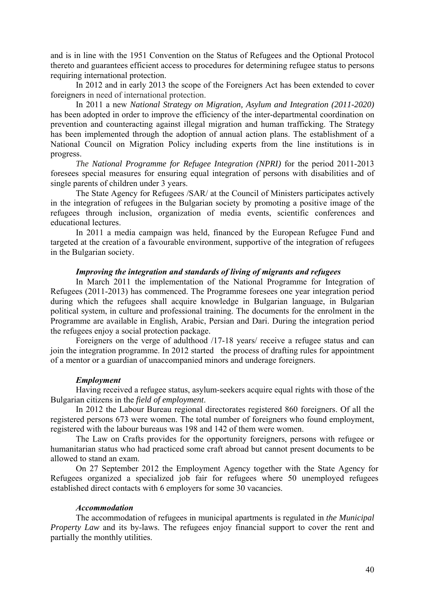and is in line with the 1951 Convention on the Status of Refugees and the Optional Protocol thereto and guarantees efficient access to procedures for determining refugee status to persons requiring international protection.

In 2012 and in early 2013 the scope of the Foreigners Act has been extended to cover foreigners in need of international protection.

In 2011 a new *National Strategy on Migration, Asylum and Integration (2011-2020)* has been adopted in order to improve the efficiency of the inter-departmental coordination on prevention and counteracting against illegal migration and human trafficking. The Strategy has been implemented through the adoption of annual action plans. The establishment of a National Council on Migration Policy including experts from the line institutions is in progress.

*The National Programme for Refugee Integration (NPRI)* for the period 2011-2013 foresees special measures for ensuring equal integration of persons with disabilities and of single parents of children under 3 years.

The State Agency for Refugees /SAR/ at the Council of Ministers participates actively in the integration of refugees in the Bulgarian society by promoting a positive image of the refugees through inclusion, organization of media events, scientific conferences and educational lectures.

In 2011 a media campaign was held, financed by the European Refugee Fund and targeted at the creation of a favourable environment, supportive of the integration of refugees in the Bulgarian society.

## *Improving the integration and standards of living of migrants and refugees*

In March 2011 the implementation of the National Programme for Integration of Refugees (2011-2013) has commenced. The Programme foresees one year integration period during which the refugees shall acquire knowledge in Bulgarian language, in Bulgarian political system, in culture and professional training. The documents for the enrolment in the Programme are available in English, Arabic, Persian and Dari. During the integration period the refugees enjoy a social protection package.

Foreigners on the verge of adulthood /17-18 years/ receive a refugee status and can join the integration programme. In 2012 started the process of drafting rules for appointment of a mentor or a guardian of unaccompanied minors and underage foreigners.

#### *Employment*

Having received a refugee status, asylum-seekers acquire equal rights with those of the Bulgarian citizens in the *field of employment*.

In 2012 the Labour Bureau regional directorates registered 860 foreigners. Of all the registered persons 673 were women. The total number of foreigners who found employment, registered with the labour bureaus was 198 and 142 of them were women.

The Law on Crafts provides for the opportunity foreigners, persons with refugee or humanitarian status who had practiced some craft abroad but cannot present documents to be allowed to stand an exam.

On 27 September 2012 the Employment Agency together with the State Agency for Refugees organized a specialized job fair for refugees where 50 unemployed refugees established direct contacts with 6 employers for some 30 vacancies.

#### *Accommodation*

The accommodation of refugees in municipal apartments is regulated in *the Municipal Property Law* and its by-laws. The refugees enjoy financial support to cover the rent and partially the monthly utilities.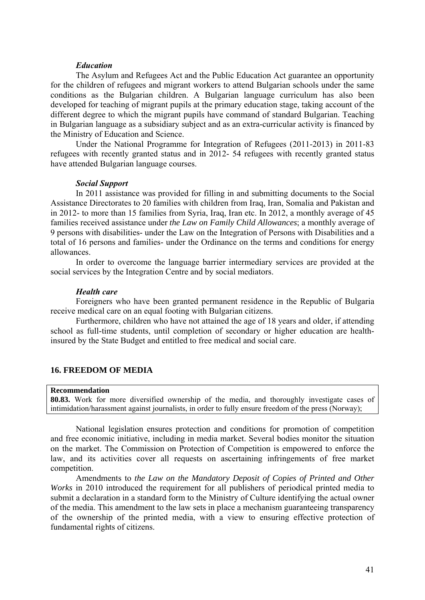#### *Education*

The Asylum and Refugees Act and the Public Education Act guarantee an opportunity for the children of refugees and migrant workers to attend Bulgarian schools under the same conditions as the Bulgarian children. A Bulgarian language curriculum has also been developed for teaching of migrant pupils at the primary education stage, taking account of the different degree to which the migrant pupils have command of standard Bulgarian. Teaching in Bulgarian language as a subsidiary subject and as an extra-curricular activity is financed by the Ministry of Education and Science.

Under the National Programme for Integration of Refugees (2011-2013) in 2011-83 refugees with recently granted status and in 2012- 54 refugees with recently granted status have attended Bulgarian language courses.

#### *Social Support*

In 2011 assistance was provided for filling in and submitting documents to the Social Assistance Directorates to 20 families with children from Iraq, Iran, Somalia and Pakistan and in 2012- to more than 15 families from Syria, Iraq, Iran etc. In 2012, a monthly average of 45 families received assistance under *the Law on Family Child Allowances*; a monthly average of 9 persons with disabilities- under the Law on the Integration of Persons with Disabilities and a total of 16 persons and families- under the Ordinance on the terms and conditions for energy allowances.

In order to overcome the language barrier intermediary services are provided at the social services by the Integration Centre and by social mediators.

#### *Health care*

Foreigners who have been granted permanent residence in the Republic of Bulgaria receive medical care on an equal footing with Bulgarian citizens.

Furthermore, children who have not attained the age of 18 years and older, if attending school as full-time students, until completion of secondary or higher education are healthinsured by the State Budget and entitled to free medical and social care.

## **16. FREEDOM OF MEDIA**

#### **Recommendation**

**80.83.** Work for more diversified ownership of the media, and thoroughly investigate cases of intimidation/harassment against journalists, in order to fully ensure freedom of the press (Norway);

National legislation ensures protection and conditions for promotion of competition and free economic initiative, including in media market. Several bodies monitor the situation on the market. The Commission on Protection of Competition is empowered to enforce the law, and its activities cover all requests on ascertaining infringements of free market competition.

Amendments to *the Law on the Mandatory Deposit of Copies of Printed and Other Works* in 2010 introduced the requirement for all publishers of periodical printed media to submit a declaration in a standard form to the Ministry of Culture identifying the actual owner of the media. This amendment to the law sets in place a mechanism guaranteeing transparency of the ownership of the printed media, with a view to ensuring effective protection of fundamental rights of citizens.